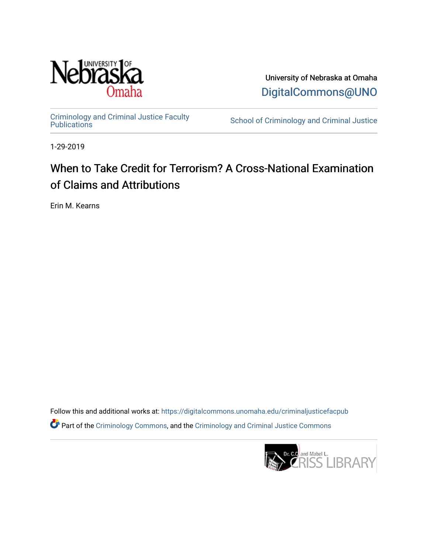

University of Nebraska at Omaha [DigitalCommons@UNO](https://digitalcommons.unomaha.edu/) 

[Criminology and Criminal Justice Faculty](https://digitalcommons.unomaha.edu/criminaljusticefacpub)

School of Criminology and Criminal Justice

1-29-2019

## When to Take Credit for Terrorism? A Cross-National Examination of Claims and Attributions

Erin M. Kearns

Follow this and additional works at: [https://digitalcommons.unomaha.edu/criminaljusticefacpub](https://digitalcommons.unomaha.edu/criminaljusticefacpub?utm_source=digitalcommons.unomaha.edu%2Fcriminaljusticefacpub%2F113&utm_medium=PDF&utm_campaign=PDFCoverPages)  Part of the [Criminology Commons](https://network.bepress.com/hgg/discipline/417?utm_source=digitalcommons.unomaha.edu%2Fcriminaljusticefacpub%2F113&utm_medium=PDF&utm_campaign=PDFCoverPages), and the [Criminology and Criminal Justice Commons](https://network.bepress.com/hgg/discipline/367?utm_source=digitalcommons.unomaha.edu%2Fcriminaljusticefacpub%2F113&utm_medium=PDF&utm_campaign=PDFCoverPages)

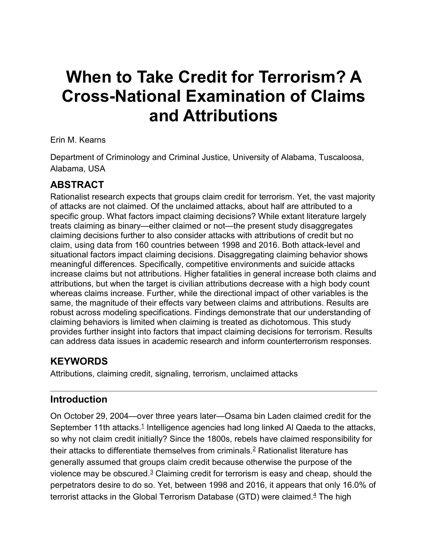# **When to Take Credit for Terrorism? A Cross-National Examination of Claims and Attributions**

Erin M. Kearns

Department of Criminology and Criminal Justice, University of Alabama, Tuscaloosa, Alabama, USA

## **ABSTRACT**

Rationalist research expects that groups claim credit for terrorism. Yet, the vast majority of attacks are not claimed. Of the unclaimed attacks, about half are attributed to a specific group. What factors impact claiming decisions? While extant literature largely treats claiming as binary—either claimed or not—the present study disaggregates claiming decisions further to also consider attacks with attributions of credit but no claim, using data from 160 countries between 1998 and 2016. Both attack-level and situational factors impact claiming decisions. Disaggregating claiming behavior shows meaningful differences. Specifically, competitive environments and suicide attacks increase claims but not attributions. Higher fatalities in general increase both claims and attributions, but when the target is civilian attributions decrease with a high body count whereas claims increase. Further, while the directional impact of other variables is the same, the magnitude of their effects vary between claims and attributions. Results are robust across modeling specifications. Findings demonstrate that our understanding of claiming behaviors is limited when claiming is treated as dichotomous. This study provides further insight into factors that impact claiming decisions for terrorism. Results can address data issues in academic research and inform counterterrorism responses.

## **KEYWORDS**

Attributions, claiming credit, signaling, terrorism, unclaimed attacks

## **Introduction**

On October 29, 2004—over three years later—Osama bin Laden claimed credit for the September 11th attacks.<sup>1</sup> Intelligence agencies had long linked Al Qaeda to the attacks, so why not claim credit initially? Since the 1800s, rebels have claimed responsibility for their attacks to differentiate themselves from criminals.<sup>2</sup> Rationalist literature has generally assumed that groups claim credit because otherwise the purpose of the violence may be obscured. $3$  Claiming credit for terrorism is easy and cheap, should the perpetrators desire to do so. Yet, between 1998 and 2016, it appears that only 16.0% of terrorist attacks in the Global Terrorism Database (GTD) were claimed. $4$  The high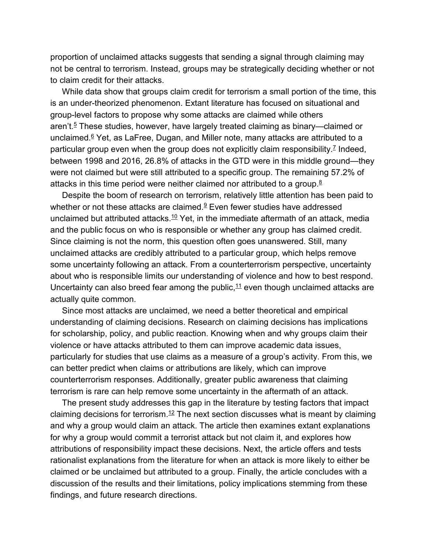proportion of unclaimed attacks suggests that sending a signal through claiming may not be central to terrorism. Instead, groups may be strategically deciding whether or not to claim credit for their attacks.

While data show that groups claim credit for terrorism a small portion of the time, this is an under-theorized phenomenon. Extant literature has focused on situational and group-level factors to propose why some attacks are claimed while others aren't.<sup>5</sup> These studies, however, have largely treated claiming as binary—claimed or unclaimed. $6$  Yet, as LaFree, Dugan, and Miller note, many attacks are attributed to a particular group even when the group does not explicitly claim responsibility.<sup> $7$ </sup> Indeed, between 1998 and 2016, 26.8% of attacks in the GTD were in this middle ground—they were not claimed but were still attributed to a specific group. The remaining 57.2% of attacks in this time period were neither claimed nor attributed to a group. $8$ 

Despite the boom of research on terrorism, relatively little attention has been paid to whether or not these attacks are claimed. $9$  Even fewer studies have addressed unclaimed but attributed attacks.<sup>10</sup> Yet, in the immediate aftermath of an attack, media and the public focus on who is responsible or whether any group has claimed credit. Since claiming is not the norm, this question often goes unanswered. Still, many unclaimed attacks are credibly attributed to a particular group, which helps remove some uncertainty following an attack. From a counterterrorism perspective, uncertainty about who is responsible limits our understanding of violence and how to best respond. Uncertainty can also breed fear among the public, $11$  even though unclaimed attacks are actually quite common.

Since most attacks are unclaimed, we need a better theoretical and empirical understanding of claiming decisions. Research on claiming decisions has implications for scholarship, policy, and public reaction. Knowing when and why groups claim their violence or have attacks attributed to them can improve academic data issues, particularly for studies that use claims as a measure of a group's activity. From this, we can better predict when claims or attributions are likely, which can improve counterterrorism responses. Additionally, greater public awareness that claiming terrorism is rare can help remove some uncertainty in the aftermath of an attack.

The present study addresses this gap in the literature by testing factors that impact claiming decisions for terrorism. $12$  The next section discusses what is meant by claiming and why a group would claim an attack. The article then examines extant explanations for why a group would commit a terrorist attack but not claim it, and explores how attributions of responsibility impact these decisions. Next, the article offers and tests rationalist explanations from the literature for when an attack is more likely to either be claimed or be unclaimed but attributed to a group. Finally, the article concludes with a discussion of the results and their limitations, policy implications stemming from these findings, and future research directions.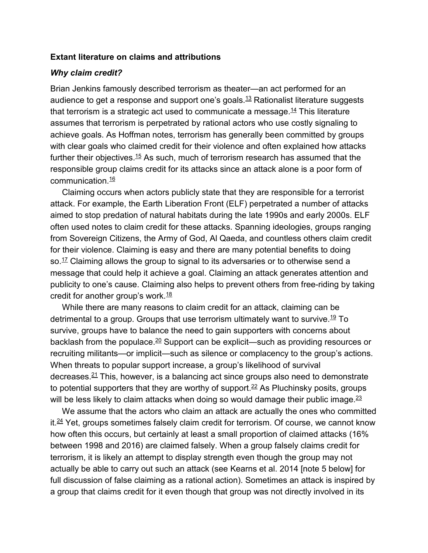#### **Extant literature on claims and attributions**

#### *Why claim credit?*

Brian Jenkins famously described terrorism as theater—an act performed for an audience to get a response and support one's goals. $13$  Rationalist literature suggests that terrorism is a strategic act used to communicate a message.<sup>14</sup> This literature assumes that terrorism is perpetrated by rational actors who use costly signaling to achieve goals. As Hoffman notes, terrorism has generally been committed by groups with clear goals who claimed credit for their violence and often explained how attacks further their objectives.<sup>15</sup> As such, much of terrorism research has assumed that the responsible group claims credit for its attacks since an attack alone is a poor form of communication[.16](https://www.tandfonline.com/reader/content/17f26c18779/10.1080/09546553.2018.1540982/format/epub/EPUB/xhtml/index.xhtml#en0016)

Claiming occurs when actors publicly state that they are responsible for a terrorist attack. For example, the Earth Liberation Front (ELF) perpetrated a number of attacks aimed to stop predation of natural habitats during the late 1990s and early 2000s. ELF often used notes to claim credit for these attacks. Spanning ideologies, groups ranging from Sovereign Citizens, the Army of God, Al Qaeda, and countless others claim credit for their violence. Claiming is easy and there are many potential benefits to doing so.<sup>17</sup> Claiming allows the group to signal to its adversaries or to otherwise send a message that could help it achieve a goal. Claiming an attack generates attention and publicity to one's cause. Claiming also helps to prevent others from free-riding by taking credit for another group's work. $18$ 

While there are many reasons to claim credit for an attack, claiming can be detrimental to a group. Groups that use terrorism ultimately want to survive.<sup>19</sup> To survive, groups have to balance the need to gain supporters with concerns about backlash from the populace.<sup>20</sup> Support can be explicit—such as providing resources or recruiting militants—or implicit—such as silence or complacency to the group's actions. When threats to popular support increase, a group's likelihood of survival decreases. $21$  This, however, is a balancing act since groups also need to demonstrate to potential supporters that they are worthy of support.<sup>22</sup> As Pluchinsky posits, groups will be less likely to claim attacks when doing so would damage their public image. $23$ 

We assume that the actors who claim an attack are actually the ones who committed it. $24$  Yet, groups sometimes falsely claim credit for terrorism. Of course, we cannot know how often this occurs, but certainly at least a small proportion of claimed attacks (16% between 1998 and 2016) are claimed falsely. When a group falsely claims credit for terrorism, it is likely an attempt to display strength even though the group may not actually be able to carry out such an attack (see Kearns et al. 2014 [note 5 below] for full discussion of false claiming as a rational action). Sometimes an attack is inspired by a group that claims credit for it even though that group was not directly involved in its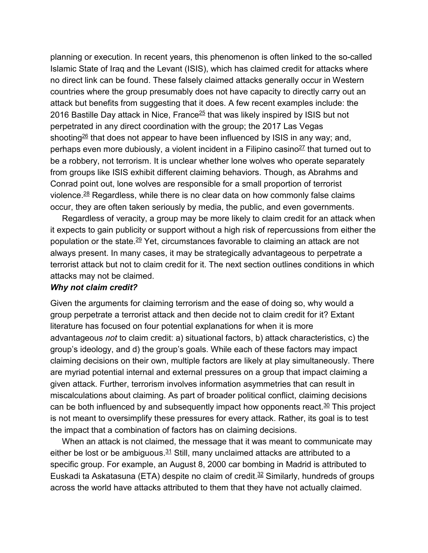planning or execution. In recent years, this phenomenon is often linked to the so-called Islamic State of Iraq and the Levant (ISIS), which has claimed credit for attacks where no direct link can be found. These falsely claimed attacks generally occur in Western countries where the group presumably does not have capacity to directly carry out an attack but benefits from suggesting that it does. A few recent examples include: the 2016 Bastille Day attack in Nice, France $25$  that was likely inspired by ISIS but not perpetrated in any direct coordination with the group; the 2017 Las Vegas shooting<sup>26</sup> that does not appear to have been influenced by ISIS in any way; and, perhaps even more dubiously, a violent incident in a Filipino casino<sup>27</sup> that turned out to be a robbery, not terrorism. It is unclear whether lone wolves who operate separately from groups like ISIS exhibit different claiming behaviors. Though, as Abrahms and Conrad point out, lone wolves are responsible for a small proportion of terrorist violence.<sup>28</sup> Regardless, while there is no clear data on how commonly false claims occur, they are often taken seriously by media, the public, and even governments.

Regardless of veracity, a group may be more likely to claim credit for an attack when it expects to gain publicity or support without a high risk of repercussions from either the population or the state.<sup>29</sup> Yet, circumstances favorable to claiming an attack are not always present. In many cases, it may be strategically advantageous to perpetrate a terrorist attack but not to claim credit for it. The next section outlines conditions in which attacks may not be claimed.

#### *Why not claim credit?*

Given the arguments for claiming terrorism and the ease of doing so, why would a group perpetrate a terrorist attack and then decide not to claim credit for it? Extant literature has focused on four potential explanations for when it is more advantageous *not* to claim credit: a) situational factors, b) attack characteristics, c) the group's ideology, and d) the group's goals. While each of these factors may impact claiming decisions on their own, multiple factors are likely at play simultaneously. There are myriad potential internal and external pressures on a group that impact claiming a given attack. Further, terrorism involves information asymmetries that can result in miscalculations about claiming. As part of broader political conflict, claiming decisions can be both influenced by and subsequently impact how opponents react. $30$  This project is not meant to oversimplify these pressures for every attack. Rather, its goal is to test the impact that a combination of factors has on claiming decisions.

When an attack is not claimed, the message that it was meant to communicate may either be lost or be ambiguous. $31$  Still, many unclaimed attacks are attributed to a specific group. For example, an August 8, 2000 car bombing in Madrid is attributed to Euskadi ta Askatasuna (ETA) despite no claim of credit.<sup>32</sup> Similarly, hundreds of groups across the world have attacks attributed to them that they have not actually claimed.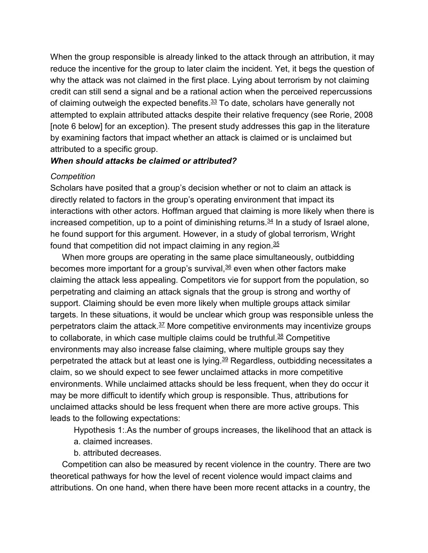When the group responsible is already linked to the attack through an attribution, it may reduce the incentive for the group to later claim the incident. Yet, it begs the question of why the attack was not claimed in the first place. Lying about terrorism by not claiming credit can still send a signal and be a rational action when the perceived repercussions of claiming outweigh the expected benefits. $33$  To date, scholars have generally not attempted to explain attributed attacks despite their relative frequency (see Rorie, 2008 [note 6 below] for an exception). The present study addresses this gap in the literature by examining factors that impact whether an attack is claimed or is unclaimed but attributed to a specific group.

#### *When should attacks be claimed or attributed?*

#### *Competition*

Scholars have posited that a group's decision whether or not to claim an attack is directly related to factors in the group's operating environment that impact its interactions with other actors. Hoffman argued that claiming is more likely when there is increased competition, up to a point of diminishing returns.  $34$  In a study of Israel alone, he found support for this argument. However, in a study of global terrorism, Wright found that competition did not impact claiming in any region.<sup>35</sup>

When more groups are operating in the same place simultaneously, outbidding becomes more important for a group's survival,  $36$  even when other factors make claiming the attack less appealing. Competitors vie for support from the population, so perpetrating and claiming an attack signals that the group is strong and worthy of support. Claiming should be even more likely when multiple groups attack similar targets. In these situations, it would be unclear which group was responsible unless the perpetrators claim the attack. $37$  More competitive environments may incentivize groups to collaborate, in which case multiple claims could be truthful. $38$  Competitive environments may also increase false claiming, where multiple groups say they perpetrated the attack but at least one is lying.<sup>39</sup> Regardless, outbidding necessitates a claim, so we should expect to see fewer unclaimed attacks in more competitive environments. While unclaimed attacks should be less frequent, when they do occur it may be more difficult to identify which group is responsible. Thus, attributions for unclaimed attacks should be less frequent when there are more active groups. This leads to the following expectations:

Hypothesis 1:.As the number of groups increases, the likelihood that an attack is

a. claimed increases.

b. attributed decreases.

Competition can also be measured by recent violence in the country. There are two theoretical pathways for how the level of recent violence would impact claims and attributions. On one hand, when there have been more recent attacks in a country, the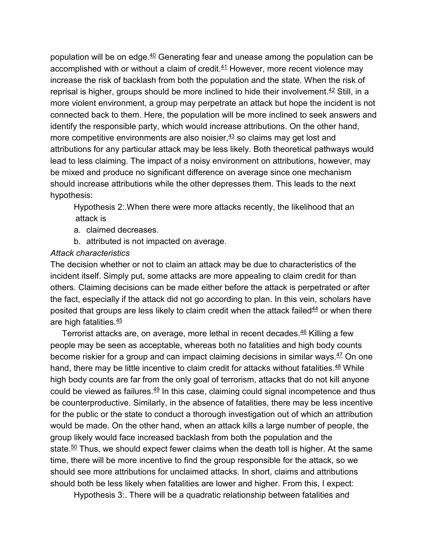population will be on edge. $40$  Generating fear and unease among the population can be accomplished with or without a claim of credit. $41$  However, more recent violence may increase the risk of backlash from both the population and the state. When the risk of reprisal is higher, groups should be more inclined to hide their involvement.<sup>42</sup> Still, in a more violent environment, a group may perpetrate an attack but hope the incident is not connected back to them. Here, the population will be more inclined to seek answers and identify the responsible party, which would increase attributions. On the other hand, more competitive environments are also noisier, $\frac{43}{3}$  so claims may get lost and attributions for any particular attack may be less likely. Both theoretical pathways would lead to less claiming. The impact of a noisy environment on attributions, however, may be mixed and produce no significant difference on average since one mechanism should increase attributions while the other depresses them. This leads to the next hypothesis:

Hypothesis 2:.When there were more attacks recently, the likelihood that an attack is

- a. claimed decreases.
- b. attributed is not impacted on average.

#### *Attack characteristics*

The decision whether or not to claim an attack may be due to characteristics of the incident itself. Simply put, some attacks are more appealing to claim credit for than others. Claiming decisions can be made either before the attack is perpetrated or after the fact, especially if the attack did not go according to plan. In this vein, scholars have posited that groups are less likely to claim credit when the attack failed $44$  or when there are high fatalities. 45

Terrorist attacks are, on average, more lethal in recent decades.<sup>46</sup> Killing a few people may be seen as acceptable, whereas both no fatalities and high body counts become riskier for a group and can impact claiming decisions in similar ways. $47$  On one hand, there may be little incentive to claim credit for attacks without fatalities.<sup>48</sup> While high body counts are far from the only goal of terrorism, attacks that do not kill anyone could be viewed as failures.<sup>49</sup> In this case, claiming could signal incompetence and thus be counterproductive. Similarly, in the absence of fatalities, there may be less incentive for the public or the state to conduct a thorough investigation out of which an attribution would be made. On the other hand, when an attack kills a large number of people, the group likely would face increased backlash from both the population and the state.<sup>50</sup> Thus, we should expect fewer claims when the death toll is higher. At the same time, there will be more incentive to find the group responsible for the attack, so we should see more attributions for unclaimed attacks. In short, claims and attributions should both be less likely when fatalities are lower and higher. From this, I expect:

Hypothesis 3:. There will be a quadratic relationship between fatalities and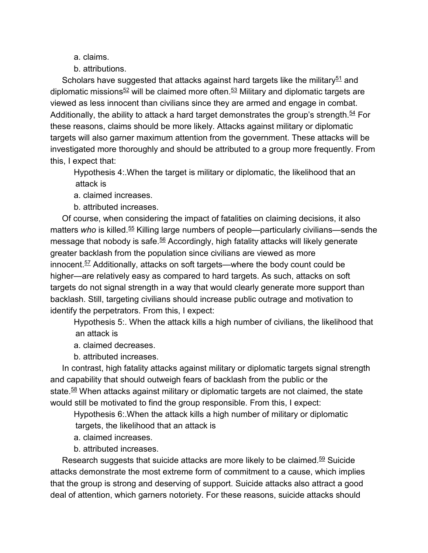- a. claims.
- b. attributions.

Scholars have suggested that attacks against hard targets like the military $51$  and diplomatic missions $52$  will be claimed more often. $53$  Military and diplomatic targets are viewed as less innocent than civilians since they are armed and engage in combat. Additionally, the ability to attack a hard target demonstrates the group's strength. $54$  For these reasons, claims should be more likely. Attacks against military or diplomatic targets will also garner maximum attention from the government. These attacks will be investigated more thoroughly and should be attributed to a group more frequently. From this, I expect that:

Hypothesis 4:.When the target is military or diplomatic, the likelihood that an attack is

a. claimed increases.

b. attributed increases.

Of course, when considering the impact of fatalities on claiming decisions, it also matters *who* is killed.<sup>55</sup> Killing large numbers of people—particularly civilians—sends the message that nobody is safe. $56$  Accordingly, high fatality attacks will likely generate greater backlash from the population since civilians are viewed as more innocent.<sup>57</sup> Additionally, attacks on soft targets—where the body count could be higher—are relatively easy as compared to hard targets. As such, attacks on soft targets do not signal strength in a way that would clearly generate more support than backlash. Still, targeting civilians should increase public outrage and motivation to identify the perpetrators. From this, I expect:

Hypothesis 5:. When the attack kills a high number of civilians, the likelihood that an attack is

a. claimed decreases.

b. attributed increases.

In contrast, high fatality attacks against military or diplomatic targets signal strength and capability that should outweigh fears of backlash from the public or the state.<sup>58</sup> When attacks against military or diplomatic targets are not claimed, the state would still be motivated to find the group responsible. From this, I expect:

Hypothesis 6:.When the attack kills a high number of military or diplomatic targets, the likelihood that an attack is

- a. claimed increases.
- b. attributed increases.

Research suggests that suicide attacks are more likely to be claimed.<sup>59</sup> Suicide attacks demonstrate the most extreme form of commitment to a cause, which implies that the group is strong and deserving of support. Suicide attacks also attract a good deal of attention, which garners notoriety. For these reasons, suicide attacks should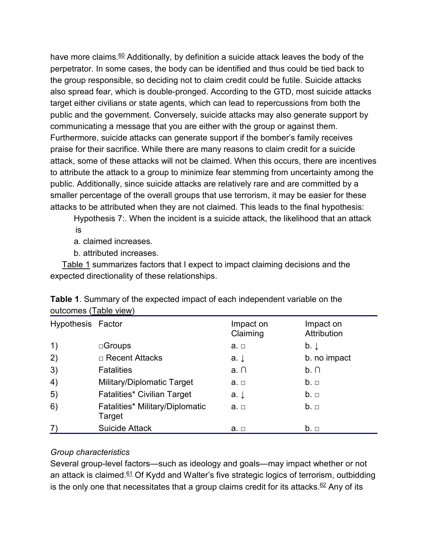have more claims. $60$  Additionally, by definition a suicide attack leaves the body of the perpetrator. In some cases, the body can be identified and thus could be tied back to the group responsible, so deciding not to claim credit could be futile. Suicide attacks also spread fear, which is double-pronged. According to the GTD, most suicide attacks target either civilians or state agents, which can lead to repercussions from both the public and the government. Conversely, suicide attacks may also generate support by communicating a message that you are either with the group or against them. Furthermore, suicide attacks can generate support if the bomber's family receives praise for their sacrifice. While there are many reasons to claim credit for a suicide attack, some of these attacks will not be claimed. When this occurs, there are incentives to attribute the attack to a group to minimize fear stemming from uncertainty among the public. Additionally, since suicide attacks are relatively rare and are committed by a smaller percentage of the overall groups that use terrorism, it may be easier for these attacks to be attributed when they are not claimed. This leads to the final hypothesis:

Hypothesis 7:. When the incident is a suicide attack, the likelihood that an attack is

a. claimed increases.

b. attributed increases.

[Table 1](https://www.tandfonline.com/reader/content/17f26c18779/10.1080/09546553.2018.1540982/format/epub/EPUB/xhtml/t0001.xhtml) summarizes factors that I expect to impact claiming decisions and the expected directionality of these relationships.

| $\frac{1}{2}$                                  |                                           |                       |                                 |
|------------------------------------------------|-------------------------------------------|-----------------------|---------------------------------|
| Hypothesis Factor                              |                                           | Impact on<br>Claiming | Impact on<br><b>Attribution</b> |
| $\left( \begin{matrix} 1 \end{matrix} \right)$ | $\Box$ Groups                             | $a_{\cdot}$ $\square$ | b. J                            |
| 2)                                             | $\Box$ Recent Attacks                     |                       | b. no impact                    |
| 3)                                             | <b>Fatalities</b>                         | $a. \cap$             | $b. \cap$                       |
| 4)                                             | Military/Diplomatic Target                | $a_{\cdot}$ $\square$ | $b. \Box$                       |
| 5)                                             | <b>Fatalities* Civilian Target</b>        | a. $\downarrow$       | $b.$ $\Box$                     |
| 6)                                             | Fatalities* Military/Diplomatic<br>Target | $a. \Box$             | $b. \Box$                       |
| $\left( 7\right)$                              | <b>Suicide Attack</b>                     | а. □                  | $b. \Box$                       |

**Table 1**. Summary of the expected impact of each independent variable on the outcomes [\(Table view\)](https://www.tandfonline.com/reader/content/17f26c18779/10.1080/09546553.2018.1540982/format/epub/EPUB/xhtml/t0001.xhtml)

## *Group characteristics*

Several group-level factors—such as ideology and goals—may impact whether or not an attack is claimed. $61$  Of Kydd and Walter's five strategic logics of terrorism, outbidding is the only one that necessitates that a group claims credit for its attacks. $62$  Any of its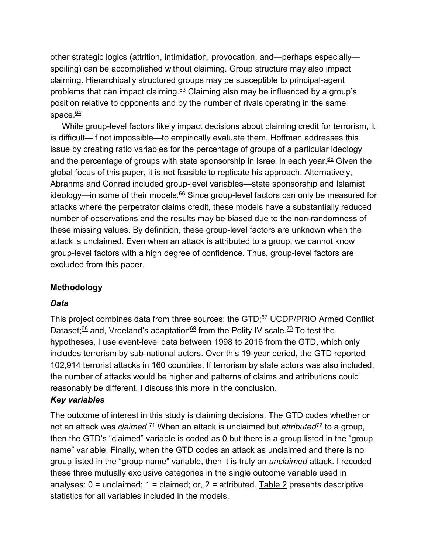other strategic logics (attrition, intimidation, provocation, and—perhaps especially spoiling) can be accomplished without claiming. Group structure may also impact claiming. Hierarchically structured groups may be susceptible to principal-agent problems that can impact claiming. $63$  Claiming also may be influenced by a group's position relative to opponents and by the number of rivals operating in the same space. $64$ 

While group-level factors likely impact decisions about claiming credit for terrorism, it is difficult—if not impossible—to empirically evaluate them. Hoffman addresses this issue by creating ratio variables for the percentage of groups of a particular ideology and the percentage of groups with state sponsorship in Israel in each year. $65$  Given the global focus of this paper, it is not feasible to replicate his approach. Alternatively, Abrahms and Conrad included group-level variables—state sponsorship and Islamist ideology—in some of their models.<sup>66</sup> Since group-level factors can only be measured for attacks where the perpetrator claims credit, these models have a substantially reduced number of observations and the results may be biased due to the non-randomness of these missing values. By definition, these group-level factors are unknown when the attack is unclaimed. Even when an attack is attributed to a group, we cannot know group-level factors with a high degree of confidence. Thus, group-level factors are excluded from this paper.

## **Methodology**

## *Data*

This project combines data from three sources: the GTD;<sup>67</sup> UCDP/PRIO Armed Conflict Dataset;<sup>68</sup> and, Vreeland's adaptation<sup>69</sup> from the Polity IV scale.<sup>70</sup> To test the hypotheses, I use event-level data between 1998 to 2016 from the GTD, which only includes terrorism by sub-national actors. Over this 19-year period, the GTD reported 102,914 terrorist attacks in 160 countries. If terrorism by state actors was also included, the number of attacks would be higher and patterns of claims and attributions could reasonably be different. I discuss this more in the conclusion.

## *Key variables*

The outcome of interest in this study is claiming decisions. The GTD codes whether or not an attack was *claimed*. [71](https://www.tandfonline.com/reader/content/17f26c18779/10.1080/09546553.2018.1540982/format/epub/EPUB/xhtml/index.xhtml#en0071) When an attack is unclaimed but *attributed*[72](https://www.tandfonline.com/reader/content/17f26c18779/10.1080/09546553.2018.1540982/format/epub/EPUB/xhtml/index.xhtml#en0072) to a group, then the GTD's "claimed" variable is coded as 0 but there is a group listed in the "group name" variable. Finally, when the GTD codes an attack as unclaimed and there is no group listed in the "group name" variable, then it is truly an *unclaimed* attack. I recoded these three mutually exclusive categories in the single outcome variable used in analyses:  $0 =$  unclaimed;  $1 =$  claimed; or,  $2 =$  attributed. [Table 2](https://www.tandfonline.com/reader/content/17f26c18779/10.1080/09546553.2018.1540982/format/epub/EPUB/xhtml/t0002.xhtml) presents descriptive statistics for all variables included in the models.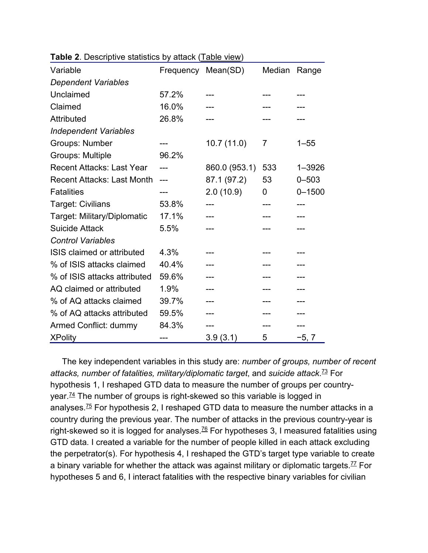|       |               | Median             | Range      |
|-------|---------------|--------------------|------------|
|       |               |                    |            |
| 57.2% |               |                    |            |
| 16.0% |               |                    |            |
| 26.8% |               |                    |            |
|       |               |                    |            |
|       | 10.7(11.0)    | 7                  | $1 - 55$   |
| 96.2% |               |                    |            |
|       | 860.0 (953.1) | 533                | $1 - 3926$ |
|       | 87.1 (97.2)   | 53                 | $0 - 503$  |
|       | 2.0(10.9)     | 0                  | $0 - 1500$ |
| 53.8% |               |                    |            |
| 17.1% |               |                    |            |
| 5.5%  |               |                    |            |
|       |               |                    |            |
| 4.3%  |               |                    |            |
| 40.4% |               |                    |            |
| 59.6% |               |                    |            |
| 1.9%  |               |                    |            |
| 39.7% |               |                    |            |
| 59.5% |               |                    |            |
| 84.3% |               |                    |            |
|       | 3.9(3.1)      | 5                  | $-5, 7$    |
|       |               | Frequency Mean(SD) |            |

**Table 2**. Descriptive statistics by attack [\(Table view\)](https://www.tandfonline.com/reader/content/17f26c18779/10.1080/09546553.2018.1540982/format/epub/EPUB/xhtml/t0002.xhtml)

The key independent variables in this study are: *number of groups, number of recent attacks, number of fatalities, military/diplomatic target*, and *suicide attack*. [73](https://www.tandfonline.com/reader/content/17f26c18779/10.1080/09546553.2018.1540982/format/epub/EPUB/xhtml/index.xhtml#en0073) For hypothesis 1, I reshaped GTD data to measure the number of groups per countryyear.<sup>74</sup> The number of groups is right-skewed so this variable is logged in analyses.<sup> $75$ </sup> For hypothesis 2, I reshaped GTD data to measure the number attacks in a country during the previous year. The number of attacks in the previous country-year is right-skewed so it is logged for analyses.<sup>76</sup> For hypotheses 3, I measured fatalities using GTD data. I created a variable for the number of people killed in each attack excluding the perpetrator(s). For hypothesis 4, I reshaped the GTD's target type variable to create a binary variable for whether the attack was against military or diplomatic targets.<sup>77</sup> For hypotheses 5 and 6, I interact fatalities with the respective binary variables for civilian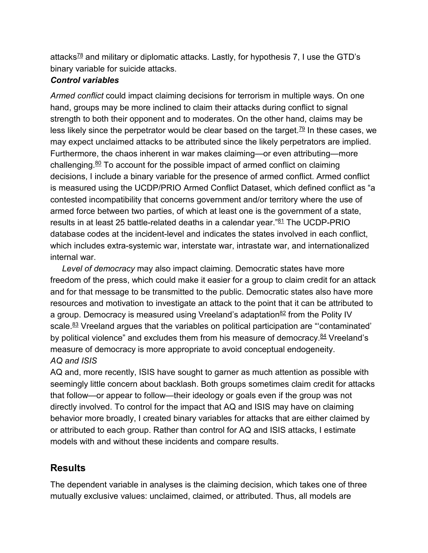attacks<sup>78</sup> and military or diplomatic attacks. Lastly, for hypothesis 7, I use the GTD's binary variable for suicide attacks.

## *Control variables*

*Armed conflict* could impact claiming decisions for terrorism in multiple ways. On one hand, groups may be more inclined to claim their attacks during conflict to signal strength to both their opponent and to moderates. On the other hand, claims may be less likely since the perpetrator would be clear based on the target.<sup>79</sup> In these cases, we may expect unclaimed attacks to be attributed since the likely perpetrators are implied. Furthermore, the chaos inherent in war makes claiming—or even attributing—more challenging. $80$  To account for the possible impact of armed conflict on claiming decisions, I include a binary variable for the presence of armed conflict. Armed conflict is measured using the UCDP/PRIO Armed Conflict Dataset, which defined conflict as "a contested incompatibility that concerns government and/or territory where the use of armed force between two parties, of which at least one is the government of a state, results in at least 25 battle-related deaths in a calendar year."<sup>81</sup> The UCDP-PRIO database codes at the incident-level and indicates the states involved in each conflict, which includes extra-systemic war, interstate war, intrastate war, and internationalized internal war.

*Level of democracy* may also impact claiming. Democratic states have more freedom of the press, which could make it easier for a group to claim credit for an attack and for that message to be transmitted to the public. Democratic states also have more resources and motivation to investigate an attack to the point that it can be attributed to a group. Democracy is measured using Vreeland's adaptation $\frac{82}{2}$  from the Polity IV scale. $83$  Vreeland argues that the variables on political participation are "contaminated" by political violence" and excludes them from his measure of democracy. $84$  Vreeland's measure of democracy is more appropriate to avoid conceptual endogeneity. *AQ and ISIS*

AQ and, more recently, ISIS have sought to garner as much attention as possible with seemingly little concern about backlash. Both groups sometimes claim credit for attacks that follow—or appear to follow—their ideology or goals even if the group was not directly involved. To control for the impact that AQ and ISIS may have on claiming behavior more broadly, I created binary variables for attacks that are either claimed by or attributed to each group. Rather than control for AQ and ISIS attacks, I estimate models with and without these incidents and compare results.

## **Results**

The dependent variable in analyses is the claiming decision, which takes one of three mutually exclusive values: unclaimed, claimed, or attributed. Thus, all models are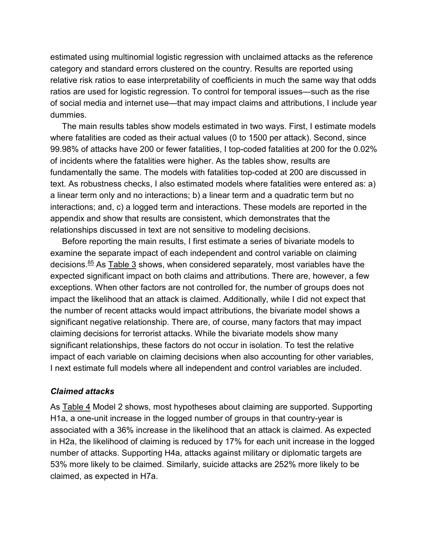estimated using multinomial logistic regression with unclaimed attacks as the reference category and standard errors clustered on the country. Results are reported using relative risk ratios to ease interpretability of coefficients in much the same way that odds ratios are used for logistic regression. To control for temporal issues—such as the rise of social media and internet use—that may impact claims and attributions, I include year dummies.

The main results tables show models estimated in two ways. First, I estimate models where fatalities are coded as their actual values (0 to 1500 per attack). Second, since 99.98% of attacks have 200 or fewer fatalities, I top-coded fatalities at 200 for the 0.02% of incidents where the fatalities were higher. As the tables show, results are fundamentally the same. The models with fatalities top-coded at 200 are discussed in text. As robustness checks, I also estimated models where fatalities were entered as: a) a linear term only and no interactions; b) a linear term and a quadratic term but no interactions; and, c) a logged term and interactions. These models are reported in the appendix and show that results are consistent, which demonstrates that the relationships discussed in text are not sensitive to modeling decisions.

Before reporting the main results, I first estimate a series of bivariate models to examine the separate impact of each independent and control variable on claiming decisions.<sup>85</sup> As [Table 3](https://www.tandfonline.com/reader/content/17f26c18779/10.1080/09546553.2018.1540982/format/epub/EPUB/xhtml/t0003.xhtml) shows, when considered separately, most variables have the expected significant impact on both claims and attributions. There are, however, a few exceptions. When other factors are not controlled for, the number of groups does not impact the likelihood that an attack is claimed. Additionally, while I did not expect that the number of recent attacks would impact attributions, the bivariate model shows a significant negative relationship. There are, of course, many factors that may impact claiming decisions for terrorist attacks. While the bivariate models show many significant relationships, these factors do not occur in isolation. To test the relative impact of each variable on claiming decisions when also accounting for other variables, I next estimate full models where all independent and control variables are included.

#### *Claimed attacks*

As [Table 4](https://www.tandfonline.com/reader/content/17f26c18779/10.1080/09546553.2018.1540982/format/epub/EPUB/xhtml/t0004.xhtml) Model 2 shows, most hypotheses about claiming are supported. Supporting H1a, a one-unit increase in the logged number of groups in that country-year is associated with a 36% increase in the likelihood that an attack is claimed. As expected in H2a, the likelihood of claiming is reduced by 17% for each unit increase in the logged number of attacks. Supporting H4a, attacks against military or diplomatic targets are 53% more likely to be claimed. Similarly, suicide attacks are 252% more likely to be claimed, as expected in H7a.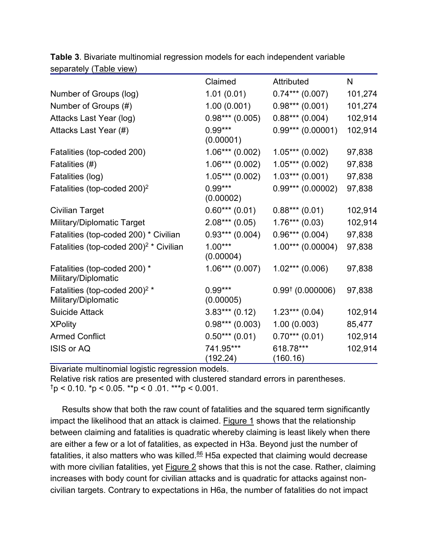|                                                                  | Claimed                | <b>Attributed</b>           | N       |
|------------------------------------------------------------------|------------------------|-----------------------------|---------|
| Number of Groups (log)                                           | 1.01(0.01)             | $0.74***$ (0.007)           | 101,274 |
| Number of Groups (#)                                             | 1.00(0.001)            | $0.98***(0.001)$            | 101,274 |
| Attacks Last Year (log)                                          | $0.98***(0.005)$       | $0.88***(0.004)$            | 102,914 |
| Attacks Last Year (#)                                            | $0.99***$<br>(0.00001) | $0.99***$ (0.00001)         | 102,914 |
| Fatalities (top-coded 200)                                       | $1.06***(0.002)$       | $1.05***(0.002)$            | 97,838  |
| Fatalities (#)                                                   | $1.06***(0.002)$       | $1.05***(0.002)$            | 97,838  |
| Fatalities (log)                                                 | $1.05***(0.002)$       | $1.03***$ (0.001)           | 97,838  |
| Fatalities (top-coded 200) <sup>2</sup>                          | $0.99***$<br>(0.00002) | $0.99***$ (0.00002)         | 97,838  |
| <b>Civilian Target</b>                                           | $0.60***(0.01)$        | $0.88***(0.01)$             | 102,914 |
| Military/Diplomatic Target                                       | $2.08***(0.05)$        | $1.76***(0.03)$             | 102,914 |
| Fatalities (top-coded 200) * Civilian                            | $0.93***(0.004)$       | $0.96***(0.004)$            | 97,838  |
| Fatalities (top-coded 200) <sup>2</sup> * Civilian               | $1.00***$<br>(0.00004) | $1.00***$ (0.00004)         | 97,838  |
| Fatalities (top-coded 200) *<br>Military/Diplomatic              | $1.06***(0.007)$       | $1.02***(0.006)$            | 97,838  |
| Fatalities (top-coded 200) <sup>2 *</sup><br>Military/Diplomatic | $0.99***$<br>(0.00005) | $0.99^{\dagger}$ (0.000006) | 97,838  |
| <b>Suicide Attack</b>                                            | $3.83***(0.12)$        | $1.23***(0.04)$             | 102,914 |
| <b>XPolity</b>                                                   | $0.98***(0.003)$       | 1.00(0.003)                 | 85,477  |
| <b>Armed Conflict</b>                                            | $0.50***$ (0.01)       | $0.70***$ (0.01)            | 102,914 |
| <b>ISIS or AQ</b>                                                | 741.95***<br>(192.24)  | 618.78***<br>(160.16)       | 102,914 |

**Table 3**. Bivariate multinomial regression models for each independent variable separately [\(Table view\)](https://www.tandfonline.com/reader/content/17f26c18779/10.1080/09546553.2018.1540982/format/epub/EPUB/xhtml/t0003.xhtml)

Bivariate multinomial logistic regression models.

Relative risk ratios are presented with clustered standard errors in parentheses.  $\text{tp}$  < 0.10.  $\text{tp}$  < 0.05.  $\text{tp}$  < 0.01.  $\text{p}$  × 0.001.

Results show that both the raw count of fatalities and the squared term significantly impact the likelihood that an attack is claimed. [Figure 1](https://www.tandfonline.com/reader/content/17f26c18779/10.1080/09546553.2018.1540982/format/epub/EPUB/xhtml/f0001.xhtml) shows that the relationship between claiming and fatalities is quadratic whereby claiming is least likely when there are either a few or a lot of fatalities, as expected in H3a. Beyond just the number of fatalities, it also matters who was killed. $86$  H5a expected that claiming would decrease with more civilian fatalities, yet [Figure 2](https://www.tandfonline.com/reader/content/17f26c18779/10.1080/09546553.2018.1540982/format/epub/EPUB/xhtml/f0002.xhtml) shows that this is not the case. Rather, claiming increases with body count for civilian attacks and is quadratic for attacks against noncivilian targets. Contrary to expectations in H6a, the number of fatalities do not impact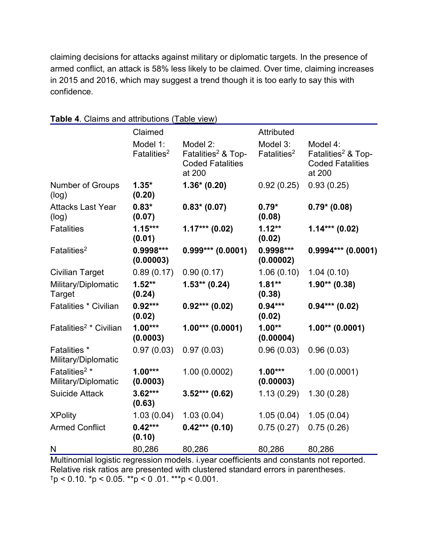claiming decisions for attacks against military or diplomatic targets. In the presence of armed conflict, an attack is 58% less likely to be claimed. Over time, claiming increases in 2015 and 2016, which may suggest a trend though it is too early to say this with confidence.

|                                                        | Claimed                             |                                                                                 | Attributed                          |                                                                                 |
|--------------------------------------------------------|-------------------------------------|---------------------------------------------------------------------------------|-------------------------------------|---------------------------------------------------------------------------------|
|                                                        | Model 1:<br>Fatalities <sup>2</sup> | Model 2:<br>Fatalities <sup>2</sup> & Top-<br><b>Coded Fatalities</b><br>at 200 | Model 3:<br>Fatalities <sup>2</sup> | Model 4:<br>Fatalities <sup>2</sup> & Top-<br><b>Coded Fatalities</b><br>at 200 |
| <b>Number of Groups</b><br>(log)                       | $1.35*$<br>(0.20)                   | $1.36*(0.20)$                                                                   | 0.92(0.25)                          | 0.93(0.25)                                                                      |
| <b>Attacks Last Year</b><br>(log)                      | $0.83*$<br>(0.07)                   | $0.83* (0.07)$                                                                  | $0.79*$<br>(0.08)                   | $0.79* (0.08)$                                                                  |
| <b>Fatalities</b>                                      | $1.15***$<br>(0.01)                 | $1.17***$ (0.02)                                                                | $1.12**$<br>(0.02)                  | $1.14***(0.02)$                                                                 |
| Fatalities <sup>2</sup>                                | 0.9998***<br>(0.00003)              | $0.999***$ (0.0001)                                                             | 0.9998***<br>(0.00002)              | $0.9994***$ (0.0001)                                                            |
| <b>Civilian Target</b>                                 | 0.89(0.17)                          | 0.90(0.17)                                                                      | 1.06(0.10)                          | 1.04(0.10)                                                                      |
| Military/Diplomatic<br><b>Target</b>                   | $1.52**$<br>(0.24)                  | $1.53**$ (0.24)                                                                 | $1.81**$<br>(0.38)                  | $1.90**$ (0.38)                                                                 |
| Fatalities * Civilian                                  | $0.92***$<br>(0.02)                 | $0.92***$ (0.02)                                                                | $0.94***$<br>(0.02)                 | $0.94***$ (0.02)                                                                |
| Fatalities <sup>2</sup> * Civilian                     | $1.00***$<br>(0.0003)               | $1.00***$ (0.0001)                                                              | $1.00**$<br>(0.00004)               | $1.00**$ (0.0001)                                                               |
| <b>Fatalities</b> *<br>Military/Diplomatic             | 0.97(0.03)                          | 0.97(0.03)                                                                      | 0.96(0.03)                          | 0.96(0.03)                                                                      |
| Fatalities <sup>2 *</sup><br>Military/Diplomatic       | $1.00***$<br>(0.0003)               | 1.00(0.0002)                                                                    | $1.00***$<br>(0.00003)              | 1.00(0.0001)                                                                    |
| <b>Suicide Attack</b>                                  | $3.62***$<br>(0.63)                 | $3.52***$ (0.62)                                                                | 1.13(0.29)                          | 1.30(0.28)                                                                      |
| <b>XPolity</b>                                         | 1.03(0.04)                          | 1.03(0.04)                                                                      | 1.05(0.04)                          | 1.05(0.04)                                                                      |
| <b>Armed Conflict</b>                                  | $0.42***$<br>(0.10)                 | $0.42***$ (0.10)                                                                | 0.75(0.27)                          | 0.75(0.26)                                                                      |
| N<br><b>Manuel Community of the American Structure</b> | 80,286<br><b>Contract Contract</b>  | 80,286<br>$\mathbf{r}$ , $\mathbf{r}$                                           | 80,286<br>. .                       | 80,286                                                                          |

### **Table 4**. Claims and attributions [\(Table view\)](https://www.tandfonline.com/reader/content/17f26c18779/10.1080/09546553.2018.1540982/format/epub/EPUB/xhtml/t0004.xhtml)

Multinomial logistic regression models. i.year coefficients and constants not reported. Relative risk ratios are presented with clustered standard errors in parentheses. †p < 0.10. \*p < 0.05. \*\*p < 0 .01. \*\*\*p < 0.001.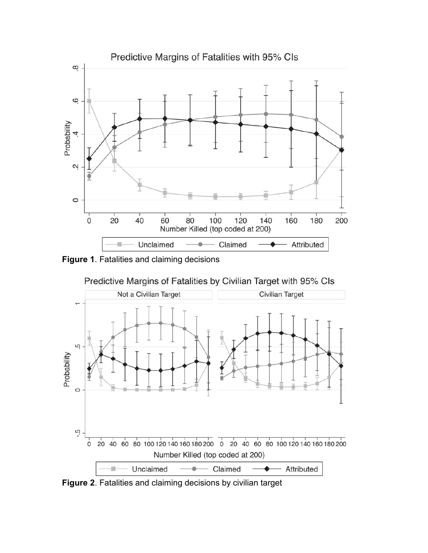

**Figure 1**. Fatalities and claiming decisions



Predictive Margins of Fatalities by Civilian Target with 95% CIs

**Figure 2**. Fatalities and claiming decisions by civilian target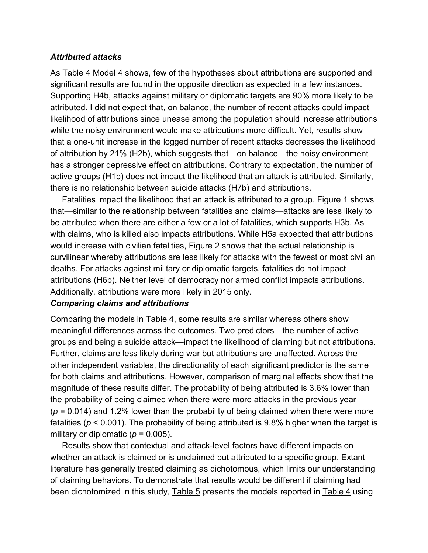### *Attributed attacks*

As [Table 4](https://www.tandfonline.com/reader/content/17f26c18779/10.1080/09546553.2018.1540982/format/epub/EPUB/xhtml/t0004.xhtml) Model 4 shows, few of the hypotheses about attributions are supported and significant results are found in the opposite direction as expected in a few instances. Supporting H4b, attacks against military or diplomatic targets are 90% more likely to be attributed. I did not expect that, on balance, the number of recent attacks could impact likelihood of attributions since unease among the population should increase attributions while the noisy environment would make attributions more difficult. Yet, results show that a one-unit increase in the logged number of recent attacks decreases the likelihood of attribution by 21% (H2b), which suggests that—on balance—the noisy environment has a stronger depressive effect on attributions. Contrary to expectation, the number of active groups (H1b) does not impact the likelihood that an attack is attributed. Similarly, there is no relationship between suicide attacks (H7b) and attributions.

Fatalities impact the likelihood that an attack is attributed to a group. [Figure 1](https://www.tandfonline.com/reader/content/17f26c18779/10.1080/09546553.2018.1540982/format/epub/EPUB/xhtml/f0001.xhtml) shows that—similar to the relationship between fatalities and claims—attacks are less likely to be attributed when there are either a few or a lot of fatalities, which supports H3b. As with claims, who is killed also impacts attributions. While H5a expected that attributions would increase with civilian fatalities, [Figure 2](https://www.tandfonline.com/reader/content/17f26c18779/10.1080/09546553.2018.1540982/format/epub/EPUB/xhtml/f0002.xhtml) shows that the actual relationship is curvilinear whereby attributions are less likely for attacks with the fewest or most civilian deaths. For attacks against military or diplomatic targets, fatalities do not impact attributions (H6b). Neither level of democracy nor armed conflict impacts attributions. Additionally, attributions were more likely in 2015 only.

#### *Comparing claims and attributions*

Comparing the models in [Table 4,](https://www.tandfonline.com/reader/content/17f26c18779/10.1080/09546553.2018.1540982/format/epub/EPUB/xhtml/t0004.xhtml) some results are similar whereas others show meaningful differences across the outcomes. Two predictors—the number of active groups and being a suicide attack—impact the likelihood of claiming but not attributions. Further, claims are less likely during war but attributions are unaffected. Across the other independent variables, the directionality of each significant predictor is the same for both claims and attributions. However, comparison of marginal effects show that the magnitude of these results differ. The probability of being attributed is 3.6% lower than the probability of being claimed when there were more attacks in the previous year (*p* = 0.014) and 1.2% lower than the probability of being claimed when there were more fatalities (*p* < 0.001). The probability of being attributed is 9.8% higher when the target is military or diplomatic ( $p = 0.005$ ).

Results show that contextual and attack-level factors have different impacts on whether an attack is claimed or is unclaimed but attributed to a specific group. Extant literature has generally treated claiming as dichotomous, which limits our understanding of claiming behaviors. To demonstrate that results would be different if claiming had been dichotomized in this study, [Table 5](https://www.tandfonline.com/reader/content/17f26c18779/10.1080/09546553.2018.1540982/format/epub/EPUB/xhtml/t0005.xhtml) presents the models reported in [Table 4](https://www.tandfonline.com/reader/content/17f26c18779/10.1080/09546553.2018.1540982/format/epub/EPUB/xhtml/t0004.xhtml) using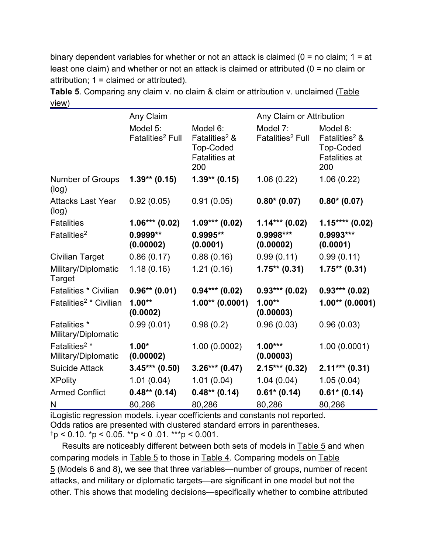binary dependent variables for whether or not an attack is claimed ( $0 =$  no claim;  $1 =$  at least one claim) and whether or not an attack is claimed or attributed (0 = no claim or attribution; 1 = claimed or attributed).

**Table 5**. Comparing any claim v. no claim & claim or attribution v. unclaimed (Table [view\)](https://www.tandfonline.com/reader/content/17f26c18779/10.1080/09546553.2018.1540982/format/epub/EPUB/xhtml/t0005.xhtml)

|                                                  | Any Claim                                |                                                                                   | Any Claim or Attribution                 |                                                                                   |  |
|--------------------------------------------------|------------------------------------------|-----------------------------------------------------------------------------------|------------------------------------------|-----------------------------------------------------------------------------------|--|
|                                                  | Model 5:<br>Fatalities <sup>2</sup> Full | Model 6:<br>Fatalities <sup>2</sup> &<br>Top-Coded<br><b>Fatalities at</b><br>200 | Model 7:<br>Fatalities <sup>2</sup> Full | Model 8:<br>Fatalities <sup>2</sup> &<br>Top-Coded<br><b>Fatalities at</b><br>200 |  |
| <b>Number of Groups</b><br>(log)                 | $1.39**$ (0.15)                          | $1.39**$ (0.15)                                                                   | 1.06(0.22)                               | 1.06(0.22)                                                                        |  |
| <b>Attacks Last Year</b><br>(log)                | 0.92(0.05)                               | 0.91(0.05)                                                                        | $0.80* (0.07)$                           | $0.80* (0.07)$                                                                    |  |
| <b>Fatalities</b>                                | $1.06***(0.02)$                          | $1.09***(0.02)$                                                                   | $1.14***$ (0.02)                         | $1.15***(0.02)$                                                                   |  |
| Fatalities <sup>2</sup>                          | 0.9999**<br>(0.00002)                    | 0.9995**<br>(0.0001)                                                              | 0.9998***<br>(0.00002)                   | 0.9993***<br>(0.0001)                                                             |  |
| <b>Civilian Target</b>                           | 0.86(0.17)                               | 0.88(0.16)                                                                        | 0.99(0.11)                               | 0.99(0.11)                                                                        |  |
| Military/Diplomatic<br>Target                    | 1.18(0.16)                               | 1.21(0.16)                                                                        | $1.75**$ (0.31)                          | $1.75**$ (0.31)                                                                   |  |
| <b>Fatalities * Civilian</b>                     | $0.96**$ (0.01)                          | $0.94***$ (0.02)                                                                  | $0.93***(0.02)$                          | $0.93***(0.02)$                                                                   |  |
| Fatalities <sup>2</sup> * Civilian               | $1.00**$<br>(0.0002)                     | $1.00**$ (0.0001)                                                                 | $1.00**$<br>(0.00003)                    | $1.00**$ (0.0001)                                                                 |  |
| <b>Fatalities</b> *<br>Military/Diplomatic       | 0.99(0.01)                               | 0.98(0.2)                                                                         | 0.96(0.03)                               | 0.96(0.03)                                                                        |  |
| Fatalities <sup>2</sup> *<br>Military/Diplomatic | $1.00*$<br>(0.00002)                     | 1.00(0.0002)                                                                      | $1.00***$<br>(0.00003)                   | 1.00(0.0001)                                                                      |  |
| <b>Suicide Attack</b>                            | $3.45***(0.50)$                          | $3.26***(0.47)$                                                                   | $2.15***$ (0.32)                         | $2.11***$ (0.31)                                                                  |  |
| <b>XPolity</b>                                   | 1.01(0.04)                               | 1.01(0.04)                                                                        | 1.04(0.04)                               | 1.05(0.04)                                                                        |  |
| <b>Armed Conflict</b>                            | $0.48**$ (0.14)                          | $0.48**$ (0.14)                                                                   | $0.61* (0.14)$                           | $0.61* (0.14)$                                                                    |  |
| N                                                | 80,286                                   | 80,286                                                                            | 80,286                                   | 80,286                                                                            |  |

iLogistic regression models. i.year coefficients and constants not reported. Odds ratios are presented with clustered standard errors in parentheses.  $\text{p}$  < 0.10.  $\text{p}$  < 0.05.  $\text{p}$  < 0.01.  $\text{p}$  +  $\text{p}$  < 0.001.

Results are noticeably different between both sets of models in [Table 5](https://www.tandfonline.com/reader/content/17f26c18779/10.1080/09546553.2018.1540982/format/epub/EPUB/xhtml/t0005.xhtml) and when comparing models in [Table 5](https://www.tandfonline.com/reader/content/17f26c18779/10.1080/09546553.2018.1540982/format/epub/EPUB/xhtml/t0005.xhtml) to those in [Table 4.](https://www.tandfonline.com/reader/content/17f26c18779/10.1080/09546553.2018.1540982/format/epub/EPUB/xhtml/t0004.xhtml) Comparing models on [Table](https://www.tandfonline.com/reader/content/17f26c18779/10.1080/09546553.2018.1540982/format/epub/EPUB/xhtml/t0005.xhtml)  [5](https://www.tandfonline.com/reader/content/17f26c18779/10.1080/09546553.2018.1540982/format/epub/EPUB/xhtml/t0005.xhtml) (Models 6 and 8), we see that three variables—number of groups, number of recent attacks, and military or diplomatic targets—are significant in one model but not the other. This shows that modeling decisions—specifically whether to combine attributed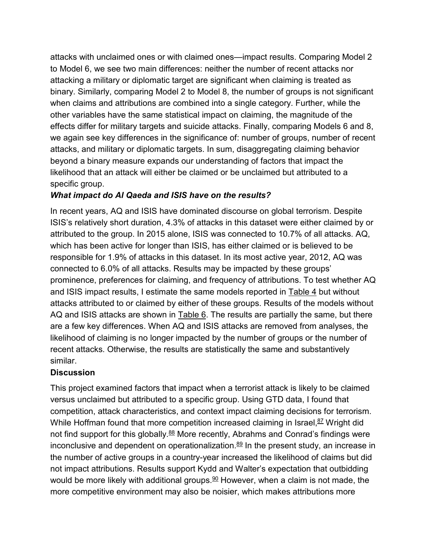attacks with unclaimed ones or with claimed ones—impact results. Comparing Model 2 to Model 6, we see two main differences: neither the number of recent attacks nor attacking a military or diplomatic target are significant when claiming is treated as binary. Similarly, comparing Model 2 to Model 8, the number of groups is not significant when claims and attributions are combined into a single category. Further, while the other variables have the same statistical impact on claiming, the magnitude of the effects differ for military targets and suicide attacks. Finally, comparing Models 6 and 8, we again see key differences in the significance of: number of groups, number of recent attacks, and military or diplomatic targets. In sum, disaggregating claiming behavior beyond a binary measure expands our understanding of factors that impact the likelihood that an attack will either be claimed or be unclaimed but attributed to a specific group.

## *What impact do Al Qaeda and ISIS have on the results?*

In recent years, AQ and ISIS have dominated discourse on global terrorism. Despite ISIS's relatively short duration, 4.3% of attacks in this dataset were either claimed by or attributed to the group. In 2015 alone, ISIS was connected to 10.7% of all attacks. AQ, which has been active for longer than ISIS, has either claimed or is believed to be responsible for 1.9% of attacks in this dataset. In its most active year, 2012, AQ was connected to 6.0% of all attacks. Results may be impacted by these groups' prominence, preferences for claiming, and frequency of attributions. To test whether AQ and ISIS impact results, I estimate the same models reported in [Table 4](https://www.tandfonline.com/reader/content/17f26c18779/10.1080/09546553.2018.1540982/format/epub/EPUB/xhtml/t0004.xhtml) but without attacks attributed to or claimed by either of these groups. Results of the models without AQ and ISIS attacks are shown in [Table 6.](https://www.tandfonline.com/reader/content/17f26c18779/10.1080/09546553.2018.1540982/format/epub/EPUB/xhtml/t0006.xhtml) The results are partially the same, but there are a few key differences. When AQ and ISIS attacks are removed from analyses, the likelihood of claiming is no longer impacted by the number of groups or the number of recent attacks. Otherwise, the results are statistically the same and substantively similar.

## **Discussion**

This project examined factors that impact when a terrorist attack is likely to be claimed versus unclaimed but attributed to a specific group. Using GTD data, I found that competition, attack characteristics, and context impact claiming decisions for terrorism. While Hoffman found that more competition increased claiming in Israel,  $87$  Wright did not find support for this globally.<sup>88</sup> More recently, Abrahms and Conrad's findings were inconclusive and dependent on operationalization. $89$  In the present study, an increase in the number of active groups in a country-year increased the likelihood of claims but did not impact attributions. Results support Kydd and Walter's expectation that outbidding would be more likely with additional groups. $90$  However, when a claim is not made, the more competitive environment may also be noisier, which makes attributions more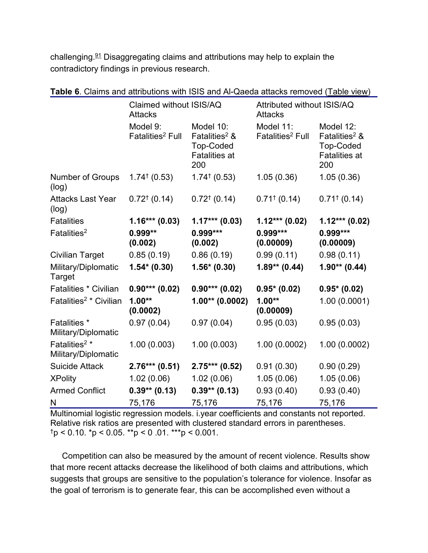challenging[.91](https://www.tandfonline.com/reader/content/17f26c18779/10.1080/09546553.2018.1540982/format/epub/EPUB/xhtml/index.xhtml#en0091) Disaggregating claims and attributions may help to explain the contradictory findings in previous research.

|                                                  | Claimed without ISIS/AQ<br><b>Attacks</b> |                                                                                    | Attributed without ISIS/AQ<br><b>Attacks</b> |                                                                                    |
|--------------------------------------------------|-------------------------------------------|------------------------------------------------------------------------------------|----------------------------------------------|------------------------------------------------------------------------------------|
|                                                  | Model 9:<br>Fatalities <sup>2</sup> Full  | Model 10:<br>Fatalities <sup>2</sup> &<br>Top-Coded<br><b>Fatalities at</b><br>200 | Model 11:<br>Fatalities <sup>2</sup> Full    | Model 12:<br>Fatalities <sup>2</sup> &<br>Top-Coded<br><b>Fatalities at</b><br>200 |
| Number of Groups<br>(log)                        | $1.74^{\dagger}$ (0.53)                   | $1.74^{\dagger}$ (0.53)                                                            | 1.05(0.36)                                   | 1.05(0.36)                                                                         |
| <b>Attacks Last Year</b><br>(log)                | $0.72^{\dagger}$ (0.14)                   | $0.72^{\dagger}$ (0.14)                                                            | $0.71^+(0.14)$                               | $0.71^+(0.14)$                                                                     |
| <b>Fatalities</b>                                | $1.16***(0.03)$                           | $1.17***$ (0.03)                                                                   | $1.12***(0.02)$                              | $1.12***(0.02)$                                                                    |
| Fatalities <sup>2</sup>                          | $0.999**$<br>(0.002)                      | $0.999***$<br>(0.002)                                                              | $0.999***$<br>(0.00009)                      | $0.999***$<br>(0.00009)                                                            |
| <b>Civilian Target</b>                           | 0.85(0.19)                                | 0.86(0.19)                                                                         | 0.99(0.11)                                   | 0.98(0.11)                                                                         |
| Military/Diplomatic<br>Target                    | $1.54*(0.30)$                             | $1.56*(0.30)$                                                                      | $1.89**$ (0.44)                              | $1.90**$ (0.44)                                                                    |
| <b>Fatalities * Civilian</b>                     | $0.90***$ (0.02)                          | $0.90***$ (0.02)                                                                   | $0.95* (0.02)$                               | $0.95* (0.02)$                                                                     |
| Fatalities <sup>2</sup> * Civilian               | $1.00**$<br>(0.0002)                      | $1.00**$ (0.0002)                                                                  | $1.00**$<br>(0.00009)                        | 1.00(0.0001)                                                                       |
| <b>Fatalities</b> *<br>Military/Diplomatic       | 0.97(0.04)                                | 0.97(0.04)                                                                         | 0.95(0.03)                                   | 0.95(0.03)                                                                         |
| Fatalities <sup>2 *</sup><br>Military/Diplomatic | 1.00(0.003)                               | 1.00(0.003)                                                                        | 1.00(0.0002)                                 | 1.00(0.0002)                                                                       |
| <b>Suicide Attack</b>                            | $2.76***$ (0.51)                          | $2.75***$ (0.52)                                                                   | 0.91(0.30)                                   | 0.90(0.29)                                                                         |
| <b>XPolity</b>                                   | 1.02(0.06)                                | 1.02(0.06)                                                                         | 1.05(0.06)                                   | 1.05(0.06)                                                                         |
| <b>Armed Conflict</b>                            | $0.39**$ (0.13)                           | $0.39**$ (0.13)                                                                    | 0.93(0.40)                                   | 0.93(0.40)                                                                         |
| N                                                | 75,176                                    | 75,176                                                                             | 75,176                                       | 75,176                                                                             |

**Table 6**. Claims and attributions with ISIS and Al-Qaeda attacks removed [\(Table view\)](https://www.tandfonline.com/reader/content/17f26c18779/10.1080/09546553.2018.1540982/format/epub/EPUB/xhtml/t0006.xhtml)

Multinomial logistic regression models. i.year coefficients and constants not reported. Relative risk ratios are presented with clustered standard errors in parentheses.  $\text{tp}$  < 0.10.  $\text{tp}$  < 0.05.  $\text{tp}$  < 0.01.  $\text{**}$  $\text{tp}$  < 0.001.

Competition can also be measured by the amount of recent violence. Results show that more recent attacks decrease the likelihood of both claims and attributions, which suggests that groups are sensitive to the population's tolerance for violence. Insofar as the goal of terrorism is to generate fear, this can be accomplished even without a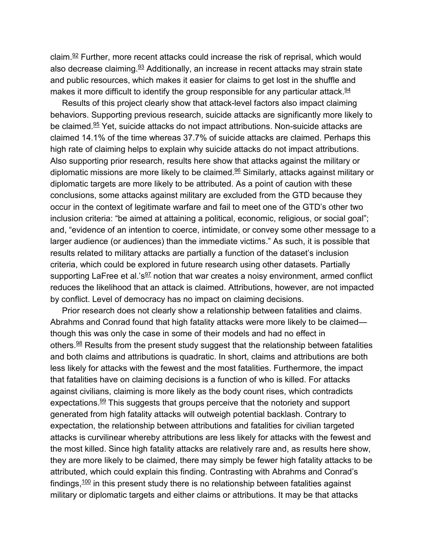claim. $92$  Further, more recent attacks could increase the risk of reprisal, which would also decrease claiming. $93$  Additionally, an increase in recent attacks may strain state and public resources, which makes it easier for claims to get lost in the shuffle and makes it more difficult to identify the group responsible for any particular attack. $94$ 

Results of this project clearly show that attack-level factors also impact claiming behaviors. Supporting previous research, suicide attacks are significantly more likely to be claimed.<sup>95</sup> Yet, suicide attacks do not impact attributions. Non-suicide attacks are claimed 14.1% of the time whereas 37.7% of suicide attacks are claimed. Perhaps this high rate of claiming helps to explain why suicide attacks do not impact attributions. Also supporting prior research, results here show that attacks against the military or diplomatic missions are more likely to be claimed.<sup>96</sup> Similarly, attacks against military or diplomatic targets are more likely to be attributed. As a point of caution with these conclusions, some attacks against military are excluded from the GTD because they occur in the context of legitimate warfare and fail to meet one of the GTD's other two inclusion criteria: "be aimed at attaining a political, economic, religious, or social goal"; and, "evidence of an intention to coerce, intimidate, or convey some other message to a larger audience (or audiences) than the immediate victims." As such, it is possible that results related to military attacks are partially a function of the dataset's inclusion criteria, which could be explored in future research using other datasets. Partially supporting LaFree et al.'s<sup>97</sup> notion that war creates a noisy environment, armed conflict reduces the likelihood that an attack is claimed. Attributions, however, are not impacted by conflict. Level of democracy has no impact on claiming decisions.

Prior research does not clearly show a relationship between fatalities and claims. Abrahms and Conrad found that high fatality attacks were more likely to be claimed though this was only the case in some of their models and had no effect in others.<sup>98</sup> Results from the present study suggest that the relationship between fatalities and both claims and attributions is quadratic. In short, claims and attributions are both less likely for attacks with the fewest and the most fatalities. Furthermore, the impact that fatalities have on claiming decisions is a function of who is killed. For attacks against civilians, claiming is more likely as the body count rises, which contradicts expectations.<sup>99</sup> This suggests that groups perceive that the notoriety and support generated from high fatality attacks will outweigh potential backlash. Contrary to expectation, the relationship between attributions and fatalities for civilian targeted attacks is curvilinear whereby attributions are less likely for attacks with the fewest and the most killed. Since high fatality attacks are relatively rare and, as results here show, they are more likely to be claimed, there may simply be fewer high fatality attacks to be attributed, which could explain this finding. Contrasting with Abrahms and Conrad's findings,  $100$  in this present study there is no relationship between fatalities against military or diplomatic targets and either claims or attributions. It may be that attacks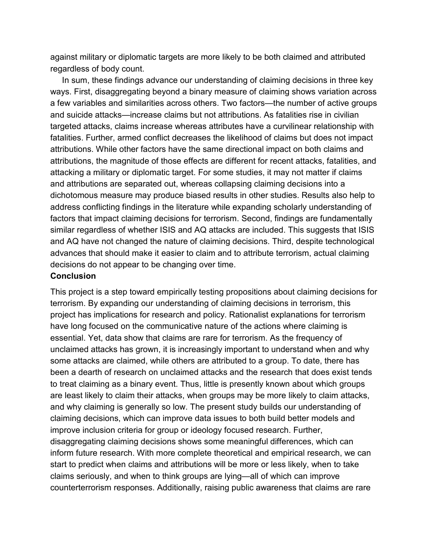against military or diplomatic targets are more likely to be both claimed and attributed regardless of body count.

In sum, these findings advance our understanding of claiming decisions in three key ways. First, disaggregating beyond a binary measure of claiming shows variation across a few variables and similarities across others. Two factors—the number of active groups and suicide attacks—increase claims but not attributions. As fatalities rise in civilian targeted attacks, claims increase whereas attributes have a curvilinear relationship with fatalities. Further, armed conflict decreases the likelihood of claims but does not impact attributions. While other factors have the same directional impact on both claims and attributions, the magnitude of those effects are different for recent attacks, fatalities, and attacking a military or diplomatic target. For some studies, it may not matter if claims and attributions are separated out, whereas collapsing claiming decisions into a dichotomous measure may produce biased results in other studies. Results also help to address conflicting findings in the literature while expanding scholarly understanding of factors that impact claiming decisions for terrorism. Second, findings are fundamentally similar regardless of whether ISIS and AQ attacks are included. This suggests that ISIS and AQ have not changed the nature of claiming decisions. Third, despite technological advances that should make it easier to claim and to attribute terrorism, actual claiming decisions do not appear to be changing over time.

#### **Conclusion**

This project is a step toward empirically testing propositions about claiming decisions for terrorism. By expanding our understanding of claiming decisions in terrorism, this project has implications for research and policy. Rationalist explanations for terrorism have long focused on the communicative nature of the actions where claiming is essential. Yet, data show that claims are rare for terrorism. As the frequency of unclaimed attacks has grown, it is increasingly important to understand when and why some attacks are claimed, while others are attributed to a group. To date, there has been a dearth of research on unclaimed attacks and the research that does exist tends to treat claiming as a binary event. Thus, little is presently known about which groups are least likely to claim their attacks, when groups may be more likely to claim attacks, and why claiming is generally so low. The present study builds our understanding of claiming decisions, which can improve data issues to both build better models and improve inclusion criteria for group or ideology focused research. Further, disaggregating claiming decisions shows some meaningful differences, which can inform future research. With more complete theoretical and empirical research, we can start to predict when claims and attributions will be more or less likely, when to take claims seriously, and when to think groups are lying—all of which can improve counterterrorism responses. Additionally, raising public awareness that claims are rare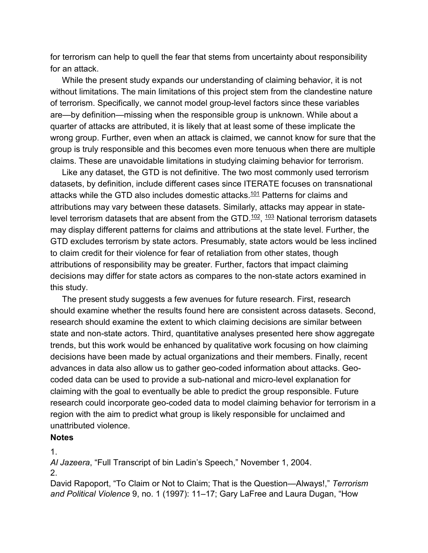for terrorism can help to quell the fear that stems from uncertainty about responsibility for an attack.

While the present study expands our understanding of claiming behavior, it is not without limitations. The main limitations of this project stem from the clandestine nature of terrorism. Specifically, we cannot model group-level factors since these variables are—by definition—missing when the responsible group is unknown. While about a quarter of attacks are attributed, it is likely that at least some of these implicate the wrong group. Further, even when an attack is claimed, we cannot know for sure that the group is truly responsible and this becomes even more tenuous when there are multiple claims. These are unavoidable limitations in studying claiming behavior for terrorism.

Like any dataset, the GTD is not definitive. The two most commonly used terrorism datasets, by definition, include different cases since ITERATE focuses on transnational attacks while the GTD also includes domestic attacks.<sup>101</sup> Patterns for claims and attributions may vary between these datasets. Similarly, attacks may appear in statelevel terrorism datasets that are absent from the GTD. $102$ ,  $103$  National terrorism datasets may display different patterns for claims and attributions at the state level. Further, the GTD excludes terrorism by state actors. Presumably, state actors would be less inclined to claim credit for their violence for fear of retaliation from other states, though attributions of responsibility may be greater. Further, factors that impact claiming decisions may differ for state actors as compares to the non-state actors examined in this study.

The present study suggests a few avenues for future research. First, research should examine whether the results found here are consistent across datasets. Second, research should examine the extent to which claiming decisions are similar between state and non-state actors. Third, quantitative analyses presented here show aggregate trends, but this work would be enhanced by qualitative work focusing on how claiming decisions have been made by actual organizations and their members. Finally, recent advances in data also allow us to gather geo-coded information about attacks. Geocoded data can be used to provide a sub-national and micro-level explanation for claiming with the goal to eventually be able to predict the group responsible. Future research could incorporate geo-coded data to model claiming behavior for terrorism in a region with the aim to predict what group is likely responsible for unclaimed and unattributed violence.

#### **Notes**

1.

*Al Jazeera*, "Full Transcript of bin Ladin's Speech," November 1, 2004. 2.

David Rapoport, "To Claim or Not to Claim; That is the Question—Always!," *Terrorism and Political Violence* 9, no. 1 (1997): 11–17; Gary LaFree and Laura Dugan, "How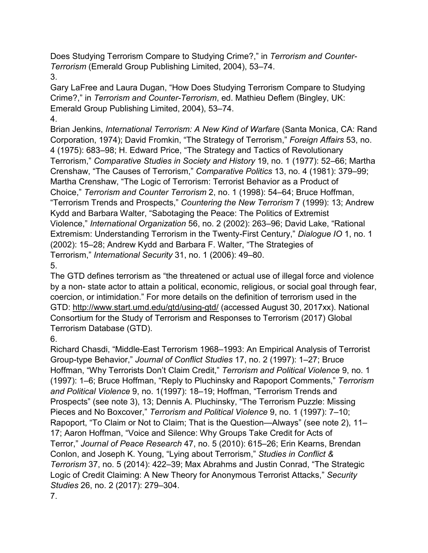Does Studying Terrorism Compare to Studying Crime?," in *Terrorism and Counter-Terrorism* (Emerald Group Publishing Limited, 2004), 53–74.

3.

Gary LaFree and Laura Dugan, "How Does Studying Terrorism Compare to Studying Crime?," in *Terrorism and Counter-Terrorism*, ed. Mathieu Deflem (Bingley, UK: Emerald Group Publishing Limited, 2004), 53–74.

4.

Brian Jenkins, *International Terrorism: A New Kind of Warfare* (Santa Monica, CA: Rand Corporation, 1974); David Fromkin, "The Strategy of Terrorism," *Foreign Affairs* 53, no. 4 (1975): 683–98; H. Edward Price, "The Strategy and Tactics of Revolutionary Terrorism," *Comparative Studies in Society and History* 19, no. 1 (1977): 52–66; Martha Crenshaw, "The Causes of Terrorism," *Comparative Politics* 13, no. 4 (1981): 379–99; Martha Crenshaw, "The Logic of Terrorism: Terrorist Behavior as a Product of Choice," *Terrorism and Counter Terrorism* 2, no. 1 (1998): 54–64; Bruce Hoffman, "Terrorism Trends and Prospects," *Countering the New Terrorism* 7 (1999): 13; Andrew Kydd and Barbara Walter, "Sabotaging the Peace: The Politics of Extremist Violence," *International Organization* 56, no. 2 (2002): 263–96; David Lake, "Rational Extremism: Understanding Terrorism in the Twenty-First Century," *Dialogue IO* 1, no. 1 (2002): 15–28; Andrew Kydd and Barbara F. Walter, "The Strategies of Terrorism," *International Security* 31, no. 1 (2006): 49–80. 5.

The GTD defines terrorism as "the threatened or actual use of illegal force and violence by a non- state actor to attain a political, economic, religious, or social goal through fear, coercion, or intimidation." For more details on the definition of terrorism used in the GTD: <http://www.start.umd.edu/gtd/using-gtd/> (accessed August 30, 2017xx). National Consortium for the Study of Terrorism and Responses to Terrorism (2017) Global Terrorism Database (GTD).

6.

Richard Chasdi, "Middle-East Terrorism 1968–1993: An Empirical Analysis of Terrorist Group-type Behavior," *Journal of Conflict Studies* 17, no. 2 (1997): 1–27; Bruce Hoffman, "Why Terrorists Don't Claim Credit," *Terrorism and Political Violence* 9, no. 1 (1997): 1–6; Bruce Hoffman, "Reply to Pluchinsky and Rapoport Comments," *Terrorism and Political Violence* 9, no. 1(1997): 18–19; Hoffman, "Terrorism Trends and Prospects" (see note 3), 13; Dennis A. Pluchinsky, "The Terrorism Puzzle: Missing Pieces and No Boxcover," *Terrorism and Political Violence* 9, no. 1 (1997): 7–10; Rapoport, "To Claim or Not to Claim; That is the Question—Always" (see note 2), 11– 17; Aaron Hoffman, "Voice and Silence: Why Groups Take Credit for Acts of Terror," *Journal of Peace Research* 47, no. 5 (2010): 615–26; Erin Kearns, Brendan Conlon, and Joseph K. Young, "Lying about Terrorism," *Studies in Conflict & Terrorism* 37, no. 5 (2014): 422–39; Max Abrahms and Justin Conrad, "The Strategic Logic of Credit Claiming: A New Theory for Anonymous Terrorist Attacks," *Security Studies* 26, no. 2 (2017): 279–304. 7.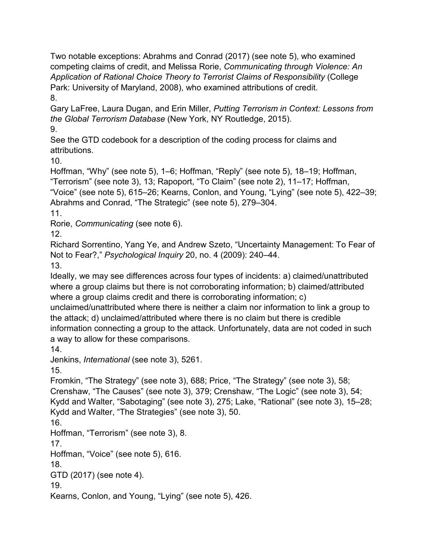Two notable exceptions: Abrahms and Conrad (2017) (see note 5), who examined competing claims of credit, and Melissa Rorie, *Communicating through Violence: An Application of Rational Choice Theory to Terrorist Claims of Responsibility* (College Park: University of Maryland, 2008), who examined attributions of credit. 8.

Gary LaFree, Laura Dugan, and Erin Miller, *Putting Terrorism in Context: Lessons from the Global Terrorism Database* (New York, NY Routledge, 2015).

9.

See the GTD codebook for a description of the coding process for claims and attributions.

10.

Hoffman, "Why" (see note 5), 1–6; Hoffman, "Reply" (see note 5), 18–19; Hoffman, "Terrorism" (see note 3), 13; Rapoport, "To Claim" (see note 2), 11–17; Hoffman, "Voice" (see note 5), 615–26; Kearns, Conlon, and Young, "Lying" (see note 5), 422–39; Abrahms and Conrad, "The Strategic" (see note 5), 279–304.

11.

Rorie, *Communicating* (see note 6).

12.

Richard Sorrentino, Yang Ye, and Andrew Szeto, "Uncertainty Management: To Fear of Not to Fear?," *Psychological Inquiry* 20, no. 4 (2009): 240–44.

13.

Ideally, we may see differences across four types of incidents: a) claimed/unattributed where a group claims but there is not corroborating information; b) claimed/attributed where a group claims credit and there is corroborating information; c)

unclaimed/unattributed where there is neither a claim nor information to link a group to the attack; d) unclaimed/attributed where there is no claim but there is credible information connecting a group to the attack. Unfortunately, data are not coded in such a way to allow for these comparisons.

14.

Jenkins, *International* (see note 3), 5261.

15.

Fromkin, "The Strategy" (see note 3), 688; Price, "The Strategy" (see note 3), 58; Crenshaw, "The Causes" (see note 3), 379; Crenshaw, "The Logic" (see note 3), 54; Kydd and Walter, "Sabotaging" (see note 3), 275; Lake, "Rational" (see note 3), 15–28; Kydd and Walter, "The Strategies" (see note 3), 50. 16.

Hoffman, "Terrorism" (see note 3), 8.

17.

Hoffman, "Voice" (see note 5), 616.

18.

GTD (2017) (see note 4).

19.

Kearns, Conlon, and Young, "Lying" (see note 5), 426.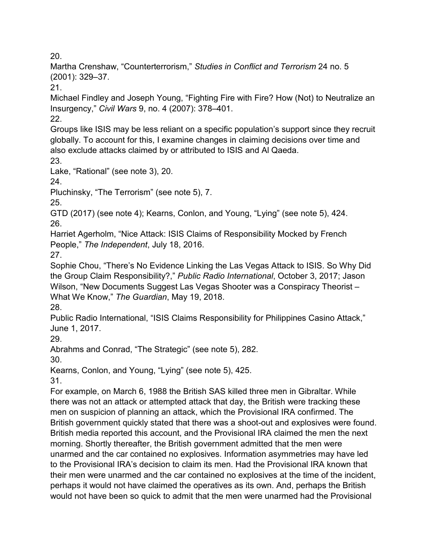20.

Martha Crenshaw, "Counterterrorism," *Studies in Conflict and Terrorism* 24 no. 5 (2001): 329–37.

21.

Michael Findley and Joseph Young, "Fighting Fire with Fire? How (Not) to Neutralize an Insurgency," *Civil Wars* 9, no. 4 (2007): 378–401.

22.

Groups like ISIS may be less reliant on a specific population's support since they recruit globally. To account for this, I examine changes in claiming decisions over time and also exclude attacks claimed by or attributed to ISIS and Al Qaeda.

23.

Lake, "Rational" (see note 3), 20.

24.

Pluchinsky, "The Terrorism" (see note 5), 7.

25.

GTD (2017) (see note 4); Kearns, Conlon, and Young, "Lying" (see note 5), 424. 26.

Harriet Agerholm, "Nice Attack: ISIS Claims of Responsibility Mocked by French People," *The Independent*, July 18, 2016.

27.

Sophie Chou, "There's No Evidence Linking the Las Vegas Attack to ISIS. So Why Did the Group Claim Responsibility?," *Public Radio International*, October 3, 2017; Jason Wilson, "New Documents Suggest Las Vegas Shooter was a Conspiracy Theorist – What We Know," *The Guardian*, May 19, 2018.

28.

Public Radio International, "ISIS Claims Responsibility for Philippines Casino Attack," June 1, 2017.

29.

Abrahms and Conrad, "The Strategic" (see note 5), 282.

30.

Kearns, Conlon, and Young, "Lying" (see note 5), 425.

31.

For example, on March 6, 1988 the British SAS killed three men in Gibraltar. While there was not an attack or attempted attack that day, the British were tracking these men on suspicion of planning an attack, which the Provisional IRA confirmed. The British government quickly stated that there was a shoot-out and explosives were found. British media reported this account, and the Provisional IRA claimed the men the next morning. Shortly thereafter, the British government admitted that the men were unarmed and the car contained no explosives. Information asymmetries may have led to the Provisional IRA's decision to claim its men. Had the Provisional IRA known that their men were unarmed and the car contained no explosives at the time of the incident, perhaps it would not have claimed the operatives as its own. And, perhaps the British would not have been so quick to admit that the men were unarmed had the Provisional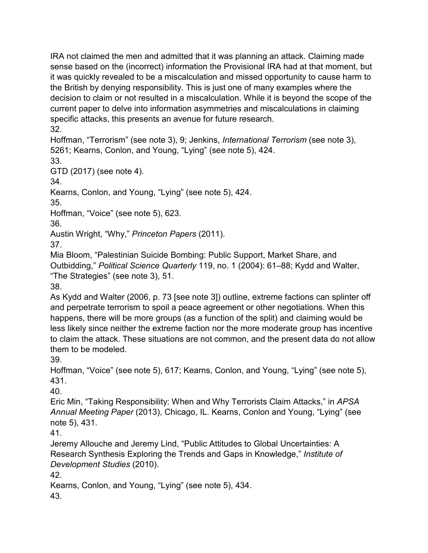IRA not claimed the men and admitted that it was planning an attack. Claiming made sense based on the (incorrect) information the Provisional IRA had at that moment, but it was quickly revealed to be a miscalculation and missed opportunity to cause harm to the British by denying responsibility. This is just one of many examples where the decision to claim or not resulted in a miscalculation. While it is beyond the scope of the current paper to delve into information asymmetries and miscalculations in claiming specific attacks, this presents an avenue for future research. 32.

Hoffman, "Terrorism" (see note 3), 9; Jenkins, *International Terrorism* (see note 3), 5261; Kearns, Conlon, and Young, "Lying" (see note 5), 424. 33.

GTD (2017) (see note 4).

34.

Kearns, Conlon, and Young, "Lying" (see note 5), 424.

35.

Hoffman, "Voice" (see note 5), 623.

36.

Austin Wright, "Why," *Princeton Papers* (2011).

37.

Mia Bloom, "Palestinian Suicide Bombing: Public Support, Market Share, and Outbidding," *Political Science Quarterly* 119, no. 1 (2004): 61–88; Kydd and Walter, "The Strategies" (see note 3), 51.

38.

As Kydd and Walter (2006, p. 73 [see note 3]) outline, extreme factions can splinter off and perpetrate terrorism to spoil a peace agreement or other negotiations. When this happens, there will be more groups (as a function of the split) and claiming would be less likely since neither the extreme faction nor the more moderate group has incentive to claim the attack. These situations are not common, and the present data do not allow them to be modeled.

39.

Hoffman, "Voice" (see note 5), 617; Kearns, Conlon, and Young, "Lying" (see note 5), 431.

40.

Eric Min, "Taking Responsibility: When and Why Terrorists Claim Attacks," in *APSA Annual Meeting Paper* (2013), Chicago, IL. Kearns, Conlon and Young, "Lying" (see note 5), 431.

41.

Jeremy Allouche and Jeremy Lind, "Public Attitudes to Global Uncertainties: A Research Synthesis Exploring the Trends and Gaps in Knowledge," *Institute of Development Studies* (2010).

42.

Kearns, Conlon, and Young, "Lying" (see note 5), 434.

43.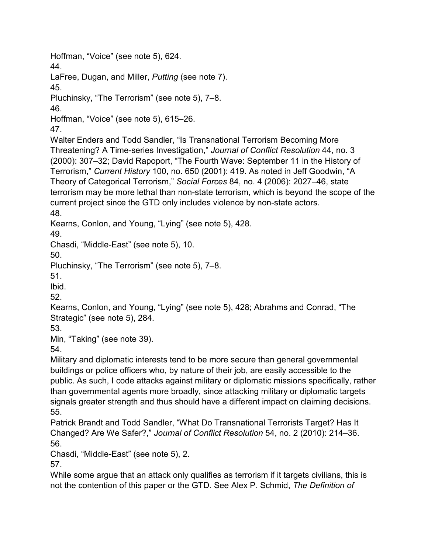Hoffman, "Voice" (see note 5), 624.

44.

LaFree, Dugan, and Miller, *Putting* (see note 7).

45.

Pluchinsky, "The Terrorism" (see note 5), 7–8.

46.

Hoffman, "Voice" (see note 5), 615–26.

47.

Walter Enders and Todd Sandler, "Is Transnational Terrorism Becoming More Threatening? A Time-series Investigation," *Journal of Conflict Resolution* 44, no. 3 (2000): 307–32; David Rapoport, "The Fourth Wave: September 11 in the History of Terrorism," *Current History* 100, no. 650 (2001): 419. As noted in Jeff Goodwin, "A Theory of Categorical Terrorism," *Social Forces* 84, no. 4 (2006): 2027–46, state terrorism may be more lethal than non-state terrorism, which is beyond the scope of the current project since the GTD only includes violence by non-state actors.

48.

Kearns, Conlon, and Young, "Lying" (see note 5), 428.

49.

Chasdi, "Middle-East" (see note 5), 10.

50.

Pluchinsky, "The Terrorism" (see note 5), 7–8.

51.

Ibid.

52.

Kearns, Conlon, and Young, "Lying" (see note 5), 428; Abrahms and Conrad, "The Strategic" (see note 5), 284.

53.

Min, "Taking" (see note 39).

54.

Military and diplomatic interests tend to be more secure than general governmental buildings or police officers who, by nature of their job, are easily accessible to the public. As such, I code attacks against military or diplomatic missions specifically, rather than governmental agents more broadly, since attacking military or diplomatic targets signals greater strength and thus should have a different impact on claiming decisions. 55.

Patrick Brandt and Todd Sandler, "What Do Transnational Terrorists Target? Has It Changed? Are We Safer?," *Journal of Conflict Resolution* 54, no. 2 (2010): 214–36. 56.

Chasdi, "Middle-East" (see note 5), 2.

57.

While some argue that an attack only qualifies as terrorism if it targets civilians, this is not the contention of this paper or the GTD. See Alex P. Schmid, *The Definition of*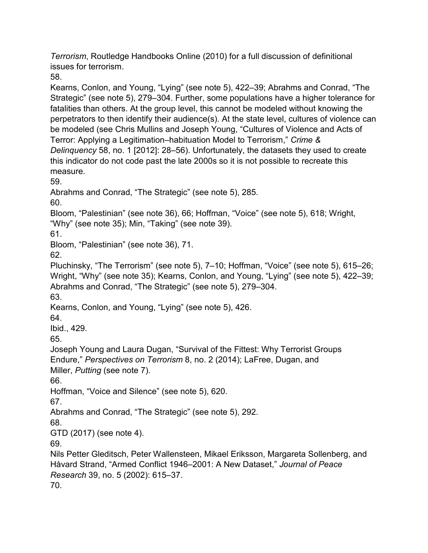*Terrorism*, Routledge Handbooks Online (2010) for a full discussion of definitional issues for terrorism.

58.

Kearns, Conlon, and Young, "Lying" (see note 5), 422–39; Abrahms and Conrad, "The Strategic" (see note 5), 279–304. Further, some populations have a higher tolerance for fatalities than others. At the group level, this cannot be modeled without knowing the perpetrators to then identify their audience(s). At the state level, cultures of violence can be modeled (see Chris Mullins and Joseph Young, "Cultures of Violence and Acts of Terror: Applying a Legitimation–habituation Model to Terrorism," *Crime & Delinquency* 58, no. 1 [2012]: 28–56). Unfortunately, the datasets they used to create this indicator do not code past the late 2000s so it is not possible to recreate this measure.

59.

Abrahms and Conrad, "The Strategic" (see note 5), 285.

60.

Bloom, "Palestinian" (see note 36), 66; Hoffman, "Voice" (see note 5), 618; Wright, "Why" (see note 35); Min, "Taking" (see note 39).

61.

Bloom, "Palestinian" (see note 36), 71.

62.

Pluchinsky, "The Terrorism" (see note 5), 7–10; Hoffman, "Voice" (see note 5), 615–26; Wright, "Why" (see note 35); Kearns, Conlon, and Young, "Lying" (see note 5), 422–39; Abrahms and Conrad, "The Strategic" (see note 5), 279–304.

63.

Kearns, Conlon, and Young, "Lying" (see note 5), 426.

64.

Ibid., 429.

65.

Joseph Young and Laura Dugan, "Survival of the Fittest: Why Terrorist Groups Endure," *Perspectives on Terrorism* 8, no. 2 (2014); LaFree, Dugan, and

Miller, *Putting* (see note 7).

66.

Hoffman, "Voice and Silence" (see note 5), 620.

67.

Abrahms and Conrad, "The Strategic" (see note 5), 292.

68.

GTD (2017) (see note 4).

69.

Nils Petter Gleditsch, Peter Wallensteen, Mikael Eriksson, Margareta Sollenberg, and Håvard Strand, "Armed Conflict 1946–2001: A New Dataset," *Journal of Peace Research* 39, no. 5 (2002): 615–37. 70.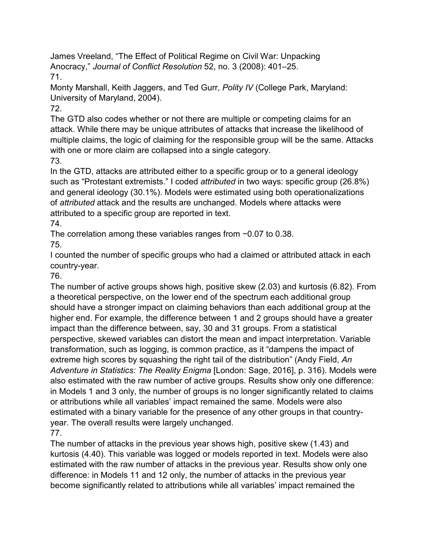James Vreeland, "The Effect of Political Regime on Civil War: Unpacking Anocracy," *Journal of Conflict Resolution* 52, no. 3 (2008): 401–25. 71.

Monty Marshall, Keith Jaggers, and Ted Gurr, *Polity IV* (College Park, Maryland: University of Maryland, 2004).

72.

The GTD also codes whether or not there are multiple or competing claims for an attack. While there may be unique attributes of attacks that increase the likelihood of multiple claims, the logic of claiming for the responsible group will be the same. Attacks with one or more claim are collapsed into a single category. 73.

In the GTD, attacks are attributed either to a specific group or to a general ideology such as "Protestant extremists." I coded *attributed* in two ways: specific group (26.8%) and general ideology (30.1%). Models were estimated using both operationalizations of *attributed* attack and the results are unchanged. Models where attacks were attributed to a specific group are reported in text.

74.

The correlation among these variables ranges from −0.07 to 0.38.

75.

I counted the number of specific groups who had a claimed or attributed attack in each country-year.

76.

The number of active groups shows high, positive skew (2.03) and kurtosis (6.82). From a theoretical perspective, on the lower end of the spectrum each additional group should have a stronger impact on claiming behaviors than each additional group at the higher end. For example, the difference between 1 and 2 groups should have a greater impact than the difference between, say, 30 and 31 groups. From a statistical perspective, skewed variables can distort the mean and impact interpretation. Variable transformation, such as logging, is common practice, as it "dampens the impact of extreme high scores by squashing the right tail of the distribution" (Andy Field, *An Adventure in Statistics: The Reality Enigma* [London: Sage, 2016], p. 316). Models were also estimated with the raw number of active groups. Results show only one difference: in Models 1 and 3 only, the number of groups is no longer significantly related to claims or attributions while all variables' impact remained the same. Models were also estimated with a binary variable for the presence of any other groups in that countryyear. The overall results were largely unchanged. 77.

The number of attacks in the previous year shows high, positive skew (1.43) and kurtosis (4.40). This variable was logged or models reported in text. Models were also estimated with the raw number of attacks in the previous year. Results show only one difference: in Models 11 and 12 only, the number of attacks in the previous year become significantly related to attributions while all variables' impact remained the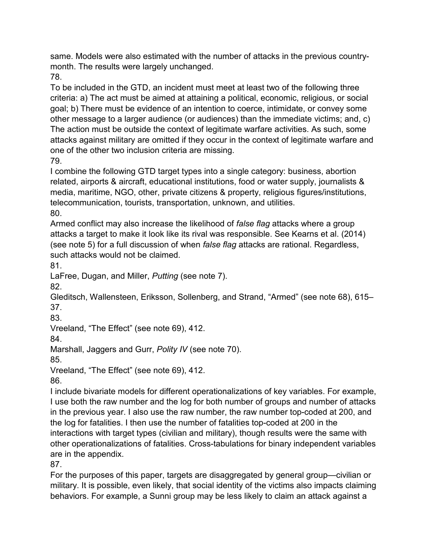same. Models were also estimated with the number of attacks in the previous countrymonth. The results were largely unchanged. 78.

To be included in the GTD, an incident must meet at least two of the following three criteria: a) The act must be aimed at attaining a political, economic, religious, or social goal; b) There must be evidence of an intention to coerce, intimidate, or convey some other message to a larger audience (or audiences) than the immediate victims; and, c) The action must be outside the context of legitimate warfare activities. As such, some attacks against military are omitted if they occur in the context of legitimate warfare and one of the other two inclusion criteria are missing. 79.

I combine the following GTD target types into a single category: business, abortion related, airports & aircraft, educational institutions, food or water supply, journalists & media, maritime, NGO, other, private citizens & property, religious figures/institutions, telecommunication, tourists, transportation, unknown, and utilities. 80.

Armed conflict may also increase the likelihood of *false flag* attacks where a group attacks a target to make it look like its rival was responsible. See Kearns et al. (2014) (see note 5) for a full discussion of when *false flag* attacks are rational. Regardless, such attacks would not be claimed.

81.

LaFree, Dugan, and Miller, *Putting* (see note 7).

82.

Gleditsch, Wallensteen, Eriksson, Sollenberg, and Strand, "Armed" (see note 68), 615– 37.

83.

Vreeland, "The Effect" (see note 69), 412.

84.

Marshall, Jaggers and Gurr, *Polity IV* (see note 70).

85.

Vreeland, "The Effect" (see note 69), 412. 86.

I include bivariate models for different operationalizations of key variables. For example, I use both the raw number and the log for both number of groups and number of attacks in the previous year. I also use the raw number, the raw number top-coded at 200, and the log for fatalities. I then use the number of fatalities top-coded at 200 in the interactions with target types (civilian and military), though results were the same with other operationalizations of fatalities. Cross-tabulations for binary independent variables are in the appendix.

87.

For the purposes of this paper, targets are disaggregated by general group—civilian or military. It is possible, even likely, that social identity of the victims also impacts claiming behaviors. For example, a Sunni group may be less likely to claim an attack against a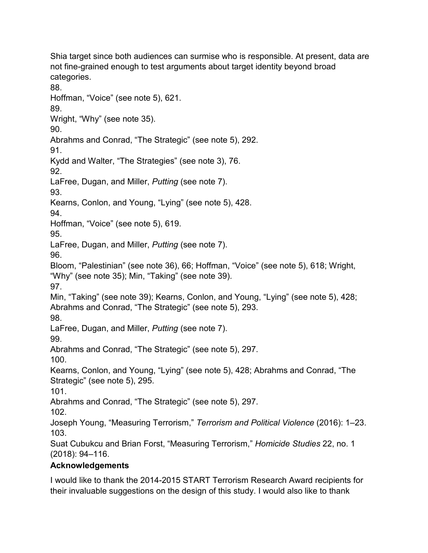Shia target since both audiences can surmise who is responsible. At present, data are not fine-grained enough to test arguments about target identity beyond broad categories.

88. Hoffman, "Voice" (see note 5), 621. 89. Wright, "Why" (see note 35). 90. Abrahms and Conrad, "The Strategic" (see note 5), 292. 91. Kydd and Walter, "The Strategies" (see note 3), 76. 92. LaFree, Dugan, and Miller, *Putting* (see note 7). 93. Kearns, Conlon, and Young, "Lying" (see note 5), 428. 94. Hoffman, "Voice" (see note 5), 619. 95. LaFree, Dugan, and Miller, *Putting* (see note 7). 96. Bloom, "Palestinian" (see note 36), 66; Hoffman, "Voice" (see note 5), 618; Wright, "Why" (see note 35); Min, "Taking" (see note 39). 97. Min, "Taking" (see note 39); Kearns, Conlon, and Young, "Lying" (see note 5), 428; Abrahms and Conrad, "The Strategic" (see note 5), 293. 98. LaFree, Dugan, and Miller, *Putting* (see note 7). 99. Abrahms and Conrad, "The Strategic" (see note 5), 297. 100. Kearns, Conlon, and Young, "Lying" (see note 5), 428; Abrahms and Conrad, "The Strategic" (see note 5), 295. 101. Abrahms and Conrad, "The Strategic" (see note 5), 297. 102. Joseph Young, "Measuring Terrorism," *Terrorism and Political Violence* (2016): 1–23. 103. Suat Cubukcu and Brian Forst, "Measuring Terrorism," *Homicide Studies* 22, no. 1 (2018): 94–116.

## **Acknowledgements**

I would like to thank the 2014-2015 START Terrorism Research Award recipients for their invaluable suggestions on the design of this study. I would also like to thank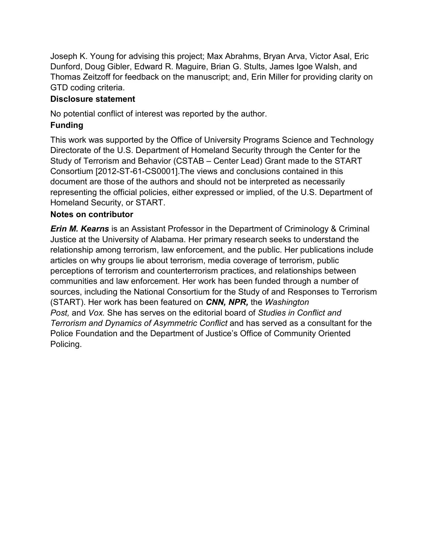Joseph K. Young for advising this project; Max Abrahms, Bryan Arva, Victor Asal, Eric Dunford, Doug Gibler, Edward R. Maguire, Brian G. Stults, James Igoe Walsh, and Thomas Zeitzoff for feedback on the manuscript; and, Erin Miller for providing clarity on GTD coding criteria.

## **Disclosure statement**

No potential conflict of interest was reported by the author.

## **Funding**

This work was supported by the Office of University Programs Science and Technology Directorate of the U.S. Department of Homeland Security through the Center for the Study of Terrorism and Behavior (CSTAB – Center Lead) Grant made to the START Consortium [2012-ST-61-CS0001].The views and conclusions contained in this document are those of the authors and should not be interpreted as necessarily representing the official policies, either expressed or implied, of the U.S. Department of Homeland Security, or START.

## **Notes on contributor**

*Erin M. Kearns* is an Assistant Professor in the Department of Criminology & Criminal Justice at the University of Alabama. Her primary research seeks to understand the relationship among terrorism, law enforcement, and the public. Her publications include articles on why groups lie about terrorism, media coverage of terrorism, public perceptions of terrorism and counterterrorism practices, and relationships between communities and law enforcement. Her work has been funded through a number of sources, including the National Consortium for the Study of and Responses to Terrorism (START). Her work has been featured on *CNN, NPR,* the *Washington Post,* and *Vox.* She has serves on the editorial board of *Studies in Conflict and Terrorism and Dynamics of Asymmetric Conflict* and has served as a consultant for the Police Foundation and the Department of Justice's Office of Community Oriented Policing.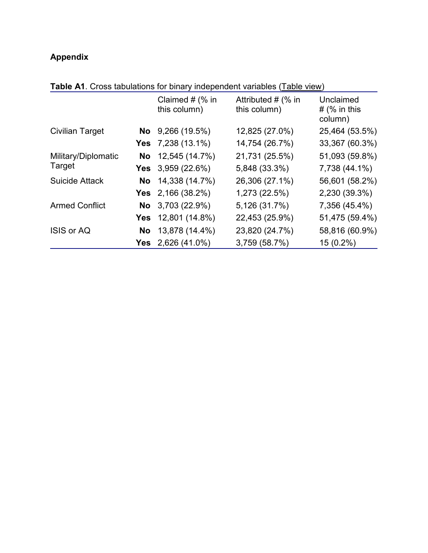## **Appendix**

| <b>Table A1.</b> Cross tabulations for binary independent variables (Table view) |  |  |
|----------------------------------------------------------------------------------|--|--|
|----------------------------------------------------------------------------------|--|--|

|                               | Claimed $#$ (% in<br>this column) | Attributed # (% in<br>this column) | Unclaimed<br># (% in this<br>column) |
|-------------------------------|-----------------------------------|------------------------------------|--------------------------------------|
| <b>Civilian Target</b>        | No 9,266 (19.5%)                  | 12,825 (27.0%)                     | 25,464 (53.5%)                       |
|                               | Yes $7,238(13.1\%)$               | 14,754 (26.7%)                     | 33,367 (60.3%)                       |
| Military/Diplomatic<br>Target | No 12,545 (14.7%)                 | 21,731 (25.5%)                     | 51,093 (59.8%)                       |
|                               | Yes $3,959(22.6%)$                | 5,848 (33.3%)                      | 7,738 (44.1%)                        |
| <b>Suicide Attack</b>         | No 14,338 (14.7%)                 | 26,306 (27.1%)                     | 56,601 (58.2%)                       |
|                               | Yes $2,166(38.2%)$                | 1,273 (22.5%)                      | 2,230 (39.3%)                        |
| <b>Armed Conflict</b>         | No 3,703 (22.9%)                  | 5,126 (31.7%)                      | 7,356 (45.4%)                        |
|                               | Yes 12,801 (14.8%)                | 22,453 (25.9%)                     | 51,475 (59.4%)                       |
| ISIS or AQ                    | No 13,878 (14.4%)                 | 23,820 (24.7%)                     | 58,816 (60.9%)                       |
|                               | Yes $2,626(41.0\%)$               | 3,759 (58.7%)                      | $15(0.2\%)$                          |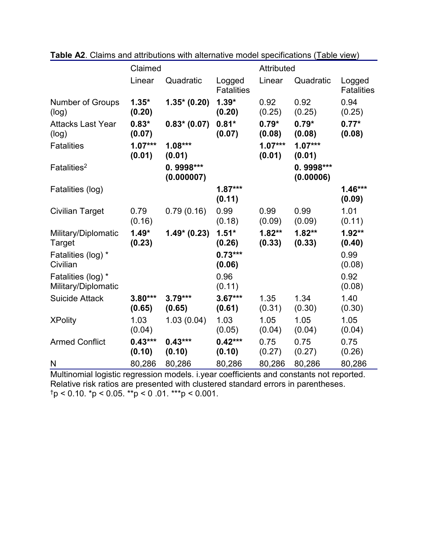|                                           | Claimed             |                         |                             | Attributed          |                        |                             |
|-------------------------------------------|---------------------|-------------------------|-----------------------------|---------------------|------------------------|-----------------------------|
|                                           | Linear              | Quadratic               | Logged<br><b>Fatalities</b> | Linear              | Quadratic              | Logged<br><b>Fatalities</b> |
| <b>Number of Groups</b><br>(log)          | $1.35*$<br>(0.20)   | $1.35* (0.20)$          | $1.39*$<br>(0.20)           | 0.92<br>(0.25)      | 0.92<br>(0.25)         | 0.94<br>(0.25)              |
| <b>Attacks Last Year</b><br>(log)         | $0.83*$<br>(0.07)   | $0.83* (0.07)$          | $0.81*$<br>(0.07)           | $0.79*$<br>(0.08)   | $0.79*$<br>(0.08)      | $0.77*$<br>(0.08)           |
| <b>Fatalities</b>                         | $1.07***$<br>(0.01) | $1.08***$<br>(0.01)     |                             | $1.07***$<br>(0.01) | $1.07***$<br>(0.01)    |                             |
| Fatalities <sup>2</sup>                   |                     | 0.9998***<br>(0.000007) |                             |                     | 0.9998***<br>(0.00006) |                             |
| Fatalities (log)                          |                     |                         | $1.87***$<br>(0.11)         |                     |                        | $1.46***$<br>(0.09)         |
| <b>Civilian Target</b>                    | 0.79<br>(0.16)      | 0.79(0.16)              | 0.99<br>(0.18)              | 0.99<br>(0.09)      | 0.99<br>(0.09)         | 1.01<br>(0.11)              |
| Military/Diplomatic<br><b>Target</b>      | $1.49*$<br>(0.23)   | $1.49* (0.23)$          | $1.51*$<br>(0.26)           | $1.82**$<br>(0.33)  | $1.82**$<br>(0.33)     | $1.92**$<br>(0.40)          |
| Fatalities (log) *<br>Civilian            |                     |                         | $0.73***$<br>(0.06)         |                     |                        | 0.99<br>(0.08)              |
| Fatalities (log) *<br>Military/Diplomatic |                     |                         | 0.96<br>(0.11)              |                     |                        | 0.92<br>(0.08)              |
| <b>Suicide Attack</b>                     | $3.80***$<br>(0.65) | $3.79***$<br>(0.65)     | $3.67***$<br>(0.61)         | 1.35<br>(0.31)      | 1.34<br>(0.30)         | 1.40<br>(0.30)              |
| <b>XPolity</b>                            | 1.03<br>(0.04)      | 1.03(0.04)              | 1.03<br>(0.05)              | 1.05<br>(0.04)      | 1.05<br>(0.04)         | 1.05<br>(0.04)              |
| <b>Armed Conflict</b>                     | $0.43***$<br>(0.10) | $0.43***$<br>(0.10)     | $0.42***$<br>(0.10)         | 0.75<br>(0.27)      | 0.75<br>(0.27)         | 0.75<br>(0.26)              |
| N                                         | 80,286              | 80,286                  | 80,286                      | 80,286              | 80,286                 | 80,286                      |

**Table A2**. Claims and attributions with alternative model specifications [\(Table view\)](https://www.tandfonline.com/reader/content/17f26c18779/10.1080/09546553.2018.1540982/format/epub/EPUB/xhtml/t0008.xhtml)

Multinomial logistic regression models. i.year coefficients and constants not reported. Relative risk ratios are presented with clustered standard errors in parentheses. †p < 0.10. \*p < 0.05. \*\*p < 0 .01. \*\*\*p < 0.001.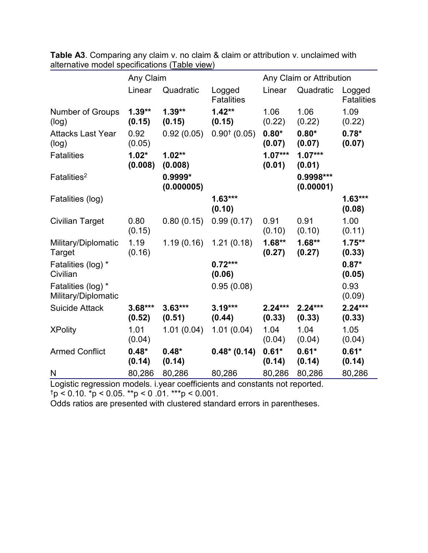|                                           | Any Claim           |                         |                             | Any Claim or Attribution |                        |                             |
|-------------------------------------------|---------------------|-------------------------|-----------------------------|--------------------------|------------------------|-----------------------------|
|                                           | Linear              | Quadratic               | Logged<br><b>Fatalities</b> | Linear                   | Quadratic              | Logged<br><b>Fatalities</b> |
| <b>Number of Groups</b><br>(log)          | $1.39**$<br>(0.15)  | $1.39**$<br>(0.15)      | $1.42**$<br>(0.15)          | 1.06<br>(0.22)           | 1.06<br>(0.22)         | 1.09<br>(0.22)              |
| <b>Attacks Last Year</b><br>(log)         | 0.92<br>(0.05)      | 0.92(0.05)              | $0.90^+(0.05)$              | $0.80*$<br>(0.07)        | $0.80*$<br>(0.07)      | $0.78*$<br>(0.07)           |
| <b>Fatalities</b>                         | $1.02*$<br>(0.008)  | $1.02**$<br>(0.008)     |                             | $1.07***$<br>(0.01)      | $1.07***$<br>(0.01)    |                             |
| Fatalities <sup>2</sup>                   |                     | $0.9999*$<br>(0.000005) |                             |                          | 0.9998***<br>(0.00001) |                             |
| Fatalities (log)                          |                     |                         | $1.63***$<br>(0.10)         |                          |                        | $1.63***$<br>(0.08)         |
| <b>Civilian Target</b>                    | 0.80<br>(0.15)      | 0.80(0.15)              | 0.99(0.17)                  | 0.91<br>(0.10)           | 0.91<br>(0.10)         | 1.00<br>(0.11)              |
| Military/Diplomatic<br>Target             | 1.19<br>(0.16)      | 1.19(0.16)              | 1.21(0.18)                  | $1.68**$<br>(0.27)       | $1.68**$<br>(0.27)     | $1.75***$<br>(0.33)         |
| Fatalities (log) *<br>Civilian            |                     |                         | $0.72***$<br>(0.06)         |                          |                        | $0.87*$<br>(0.05)           |
| Fatalities (log) *<br>Military/Diplomatic |                     |                         | 0.95(0.08)                  |                          |                        | 0.93<br>(0.09)              |
| <b>Suicide Attack</b>                     | $3.68***$<br>(0.52) | $3.63***$<br>(0.51)     | $3.19***$<br>(0.44)         | $2.24***$<br>(0.33)      | $2.24***$<br>(0.33)    | $2.24***$<br>(0.33)         |
| <b>XPolity</b>                            | 1.01<br>(0.04)      | 1.01(0.04)              | 1.01(0.04)                  | 1.04<br>(0.04)           | 1.04<br>(0.04)         | 1.05<br>(0.04)              |
| <b>Armed Conflict</b>                     | $0.48*$<br>(0.14)   | $0.48*$<br>(0.14)       | $0.48*$ (0.14)              | $0.61*$<br>(0.14)        | $0.61*$<br>(0.14)      | $0.61*$<br>(0.14)           |
| N                                         | 80,286              | 80,286                  | 80,286                      | 80,286                   | 80,286                 | 80,286                      |

**Table A3**. Comparing any claim v. no claim & claim or attribution v. unclaimed with alternative model specifications (<u>Table view</u>)

Logistic regression models. i.year coefficients and constants not reported. †p < 0.10. \*p < 0.05. \*\*p < 0 .01. \*\*\*p < 0.001.

Odds ratios are presented with clustered standard errors in parentheses.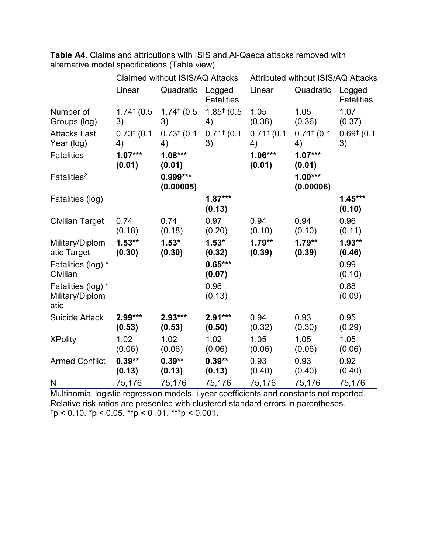|                                               |                                 | Claimed without ISIS/AQ Attacks |                             |                             | Attributed without ISIS/AQ Attacks |                             |  |
|-----------------------------------------------|---------------------------------|---------------------------------|-----------------------------|-----------------------------|------------------------------------|-----------------------------|--|
|                                               | Linear                          | Quadratic                       | Logged<br><b>Fatalities</b> | Linear                      | Quadratic                          | Logged<br><b>Fatalities</b> |  |
| Number of<br>Groups (log)                     | $1.74^{\dagger}$ (0.5<br>3)     | $1.74^{\dagger}$ (0.5<br>3)     | $1.85^{\dagger}$ (0.5<br>4) | 1.05<br>(0.36)              | 1.05<br>(0.36)                     | 1.07<br>(0.37)              |  |
| <b>Attacks Last</b><br>Year (log)             | $0.73$ <sup>†</sup> (0.1)<br>4) | $0.73^{\dagger}$ (0.1<br>4)     | $0.71^{\dagger}$ (0.1<br>3) | $0.71^{\dagger}$ (0.1<br>4) | $0.71^+(0.1)$<br>4)                | $0.69^{\dagger}$ (0.1<br>3) |  |
| <b>Fatalities</b>                             | $1.07***$<br>(0.01)             | $1.08***$<br>(0.01)             |                             | $1.06***$<br>(0.01)         | $1.07***$<br>(0.01)                |                             |  |
| Fatalities <sup>2</sup>                       |                                 | $0.999***$<br>(0.00005)         |                             |                             | $1.00***$<br>(0.00006)             |                             |  |
| Fatalities (log)                              |                                 |                                 | $1.87***$<br>(0.13)         |                             |                                    | $1.45***$<br>(0.10)         |  |
| <b>Civilian Target</b>                        | 0.74<br>(0.18)                  | 0.74<br>(0.18)                  | 0.97<br>(0.20)              | 0.94<br>(0.10)              | 0.94<br>(0.10)                     | 0.96<br>(0.11)              |  |
| Military/Diplom<br>atic Target                | $1.53**$<br>(0.30)              | $1.53*$<br>(0.30)               | $1.53*$<br>(0.32)           | $1.79**$<br>(0.39)          | $1.79**$<br>(0.39)                 | $1.93**$<br>(0.46)          |  |
| Fatalities (log) *<br>Civilian                |                                 |                                 | $0.65***$<br>(0.07)         |                             |                                    | 0.99<br>(0.10)              |  |
| Fatalities (log) *<br>Military/Diplom<br>atic |                                 |                                 | 0.96<br>(0.13)              |                             |                                    | 0.88<br>(0.09)              |  |
| <b>Suicide Attack</b>                         | $2.99***$<br>(0.53)             | $2.93***$<br>(0.53)             | $2.91***$<br>(0.50)         | 0.94<br>(0.32)              | 0.93<br>(0.30)                     | 0.95<br>(0.29)              |  |
| <b>XPolity</b>                                | 1.02<br>(0.06)                  | 1.02<br>(0.06)                  | 1.02<br>(0.06)              | 1.05<br>(0.06)              | 1.05<br>(0.06)                     | 1.05<br>(0.06)              |  |
| <b>Armed Conflict</b>                         | $0.39**$<br>(0.13)              | $0.39**$<br>(0.13)              | $0.39**$<br>(0.13)          | 0.93<br>(0.40)              | 0.93<br>(0.40)                     | 0.92<br>(0.40)              |  |
| N                                             | 75,176                          | 75,176                          | 75,176                      | 75,176                      | 75,176                             | 75,176                      |  |

**Table A4**. Claims and attributions with ISIS and Al-Qaeda attacks removed with alternative model specifications [\(Table view\)](https://www.tandfonline.com/reader/content/17f26c18779/10.1080/09546553.2018.1540982/format/epub/EPUB/xhtml/t0010.xhtml)

Multinomial logistic regression models. i.year coefficients and constants not reported. Relative risk ratios are presented with clustered standard errors in parentheses.  $\text{tp}$  < 0.10.  $\text{tp}$  < 0.05.  $\text{tp}$  < 0.01.  $\text{p}$  ×  $\text{tp}$  < 0.001.